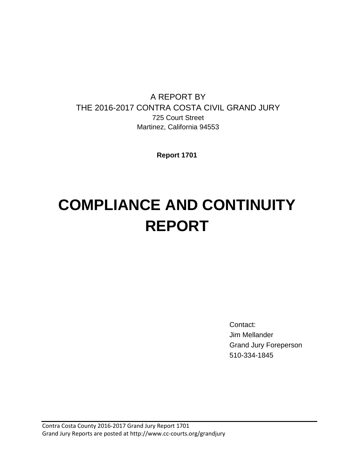# A REPORT BY THE 2016-2017 CONTRA COSTA CIVIL GRAND JURY 725 Court Street Martinez, California 94553

**Report 1701**

# **COMPLIANCE AND CONTINUITY REPORT**

Contact: Jim Mellander Grand Jury Foreperson 510-334-1845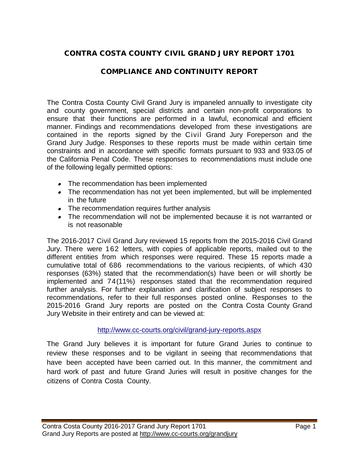# CONTRA COSTA COUNTY CIVIL GRAND JURY REPORT 1701

## COMPLIANCE AND CONTINUITY REPORT

The Contra Costa County Civil Grand Jury is impaneled annually to investigate city and county government, special districts and certain non-profit corporations to ensure that their functions are performed in a lawful, economical and efficient manner. Findings and recommendations developed from these investigations are contained in the reports signed by the Civil Grand Jury Foreperson and the Grand Jury Judge. Responses to these reports must be made within certain time constraints and in accordance with specific formats pursuant to 933 and 933.05 of the California Penal Code. These responses to recommendations must include one of the following legally permitted options:

- The recommendation has been implemented
- The recommendation has not yet been implemented, but will be implemented in the future
- The recommendation requires further analysis
- The recommendation will not be implemented because it is not warranted or is not reasonable

The 2016-2017 Civil Grand Jury reviewed 15 reports from the 2015-2016 Civil Grand Jury. There were 162 letters, with copies of applicable reports, mailed out to the different entities from which responses were required. These 15 reports made a cumulative total of 686 recommendations to the various recipients, of which 430 responses (63%) stated that the recommendation(s) have been or will shortly be implemented and 74(11%) responses stated that the recommendation required further analysis. For further explanation and clarification of subject responses to recommendations, refer to their full responses posted online. Responses to the 2015-2016 Grand Jury reports are posted on the Contra Costa County Grand Jury Website in their entirety and can be viewed at:

#### <http://www.cc-courts.org/civil/grand-jury-reports.aspx>

The Grand Jury believes it is important for future Grand Juries to continue to review these responses and to be vigilant in seeing that recommendations that have been accepted have been carried out. In this manner, the commitment and hard work of past and future Grand Juries will result in positive changes for the citizens of Contra Costa County.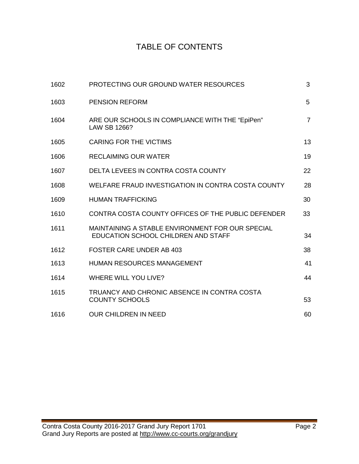# TABLE OF CONTENTS

| 1602 | PROTECTING OUR GROUND WATER RESOURCES                                                   | 3              |
|------|-----------------------------------------------------------------------------------------|----------------|
| 1603 | <b>PENSION REFORM</b>                                                                   | 5              |
| 1604 | ARE OUR SCHOOLS IN COMPLIANCE WITH THE "EpiPen"<br>LAW SB 1266?                         | $\overline{7}$ |
| 1605 | <b>CARING FOR THE VICTIMS</b>                                                           | 13             |
| 1606 | <b>RECLAIMING OUR WATER</b>                                                             | 19             |
| 1607 | DELTA LEVEES IN CONTRA COSTA COUNTY                                                     | 22             |
| 1608 | WELFARE FRAUD INVESTIGATION IN CONTRA COSTA COUNTY                                      | 28             |
| 1609 | <b>HUMAN TRAFFICKING</b>                                                                | 30             |
| 1610 | CONTRA COSTA COUNTY OFFICES OF THE PUBLIC DEFENDER                                      | 33             |
| 1611 | MAINTAINING A STABLE ENVIRONMENT FOR OUR SPECIAL<br>EDUCATION SCHOOL CHILDREN AND STAFF | 34             |
| 1612 | <b>FOSTER CARE UNDER AB 403</b>                                                         | 38             |
| 1613 | <b>HUMAN RESOURCES MANAGEMENT</b>                                                       | 41             |
| 1614 | <b>WHERE WILL YOU LIVE?</b>                                                             | 44             |
| 1615 | TRUANCY AND CHRONIC ABSENCE IN CONTRA COSTA<br><b>COUNTY SCHOOLS</b>                    | 53             |
| 1616 | <b>OUR CHILDREN IN NEED</b>                                                             | 60             |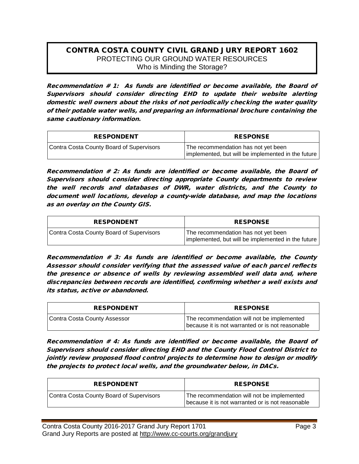#### CONTRA COSTA COUNTY CIVIL GRAND JURY REPORT 1602 PROTECTING OUR GROUND WATER RESOURCES Who is Minding the Storage?

Recommendation # 1: As funds are identified or become available, the Board of Supervisors should consider directing EHD to update their website alerting domestic well owners about the risks of not periodically checking the water quality of their potable water wells, and preparing an informational brochure containing the same cautionary information.

| <b>RESPONDENT</b>                        | <b>RESPONSE</b>                                                                           |
|------------------------------------------|-------------------------------------------------------------------------------------------|
| Contra Costa County Board of Supervisors | The recommendation has not yet been<br>implemented, but will be implemented in the future |

Recommendation # 2: As funds are identified or become available, the Board of Supervisors should consider directing appropriate County departments to review the well records and databases of DWR, water districts, and the County to document well locations, develop a county-wide database, and map the locations as an overlay on the County GIS.

| <b>RESPONDENT</b>                        | <b>RESPONSE</b>                                                                           |
|------------------------------------------|-------------------------------------------------------------------------------------------|
| Contra Costa County Board of Supervisors | The recommendation has not yet been<br>implemented, but will be implemented in the future |

Recommendation # 3: As funds are identified or become available, the County Assessor should consider verifying that the assessed value of each parcel reflects the presence or absence of wells by reviewing assembled well data and, where discrepancies between records are identified, confirming whether a well exists and its status, active or abandoned.

| <b>RESPONDENT</b>            | <b>RESPONSE</b>                                                                                |
|------------------------------|------------------------------------------------------------------------------------------------|
| Contra Costa County Assessor | The recommendation will not be implemented<br>because it is not warranted or is not reasonable |

Recommendation # 4: As funds are identified or become available, the Board of Supervisors should consider directing EHD and the County Flood Control District to jointly review proposed flood control projects to determine how to design or modify the projects to protect local wells, and the groundwater below, in DACs.

| <b>RESPONDENT</b>                        | <b>RESPONSE</b>                                                                                |
|------------------------------------------|------------------------------------------------------------------------------------------------|
| Contra Costa County Board of Supervisors | The recommendation will not be implemented<br>because it is not warranted or is not reasonable |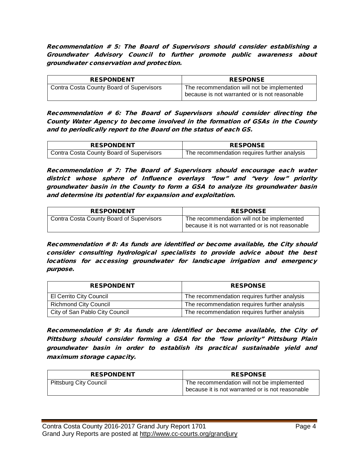Recommendation # 5: The Board of Supervisors should consider establishing a Groundwater Advisory Council to further promote public awareness about groundwater conservation and protection.

| <b>RESPONDENT</b>                          | <b>RESPONSE</b>                                                                             |
|--------------------------------------------|---------------------------------------------------------------------------------------------|
| ' Contra Costa County Board of Supervisors | The recommendation will not be implemented<br>because is not warranted or is not reasonable |

Recommendation # 6: The Board of Supervisors should consider directing the County Water Agency to become involved in the formation of GSAs in the County and to periodically report to the Board on the status of each GS.

| <b>RESPONDENT</b>                               | <b>RESPONSE</b>                              |
|-------------------------------------------------|----------------------------------------------|
| <b>Contra Costa County Board of Supervisors</b> | The recommendation requires further analysis |

Recommendation # 7: The Board of Supervisors should encourage each water district whose sphere of Influence overlays "low" and "very low" priority groundwater basin in the County to form a GSA to analyze its groundwater basin and determine its potential for expansion and exploitation.

| <b>RESPONDENT</b>                        | <b>RESPONSE</b>                                                                                |
|------------------------------------------|------------------------------------------------------------------------------------------------|
| Contra Costa County Board of Supervisors | The recommendation will not be implemented<br>because it is not warranted or is not reasonable |

Recommendation # 8: As funds are identified or become available, the City should consider consulting hydrological specialists to provide advice about the best locations for accessing groundwater for landscape irrigation and emergency purpose.

| <b>RESPONDENT</b>              | <b>RESPONSE</b>                              |
|--------------------------------|----------------------------------------------|
| El Cerrito City Council        | The recommendation requires further analysis |
| <b>Richmond City Council</b>   | The recommendation requires further analysis |
| City of San Pablo City Council | The recommendation requires further analysis |

Recommendation # 9: As funds are identified or become available, the City of Pittsburg should consider forming a GSA for the "low priority" Pittsburg Plain groundwater basin in order to establish its practical sustainable yield and maximum storage capacity.

| <b>RESPONDENT</b>      | <b>RESPONSE</b>                                                                                |
|------------------------|------------------------------------------------------------------------------------------------|
| Pittsburg City Council | The recommendation will not be implemented<br>because it is not warranted or is not reasonable |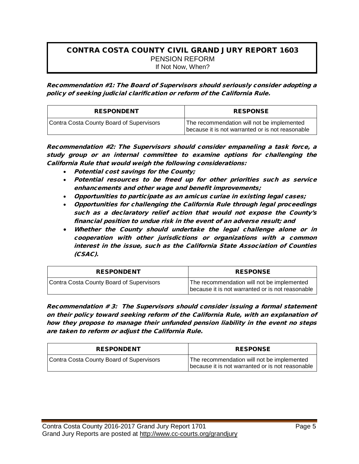#### CONTRA COSTA COUNTY CIVIL GRAND JURY REPORT 1603 PENSION REFORM If Not Now, When?

Recommendation #1: The Board of Supervisors should seriously consider adopting a policy of seeking judicial clarification or reform of the California Rule.

| <b>RESPONDENT</b>                        | <b>RESPONSE</b>                                                                                |
|------------------------------------------|------------------------------------------------------------------------------------------------|
| Contra Costa County Board of Supervisors | The recommendation will not be implemented<br>because it is not warranted or is not reasonable |

Recommendation #2: The Supervisors should consider empaneling a task force, a study group or an internal committee to examine options for challenging the California Rule that would weigh the following considerations:

- Potential cost savings for the County;
- Potential resources to be freed up for other priorities such as service enhancements and other wage and benefit improvements;
- Opportunities to participate as an amicus curiae in existing legal cases;
- Opportunities for challenging the California Rule through legal proceedings such as a declaratory relief action that would not expose the County's financial position to undue risk in the event of an adverse result; and
- Whether the County should undertake the legal challenge alone or in cooperation with other jurisdictions or organizations with a common interest in the issue, such as the California State Association of Counties (CSAC).

| <b>RESPONDENT</b>                        | <b>RESPONSE</b>                                                                                |
|------------------------------------------|------------------------------------------------------------------------------------------------|
| Contra Costa County Board of Supervisors | The recommendation will not be implemented<br>because it is not warranted or is not reasonable |

Recommendation # 3: The Supervisors should consider issuing a formal statement on their policy toward seeking reform of the California Rule, with an explanation of how they propose to manage their unfunded pension liability in the event no steps are taken to reform or adjust the California Rule.

| <b>RESPONDENT</b>                        | <b>RESPONSE</b>                                                                                |
|------------------------------------------|------------------------------------------------------------------------------------------------|
| Contra Costa County Board of Supervisors | The recommendation will not be implemented<br>because it is not warranted or is not reasonable |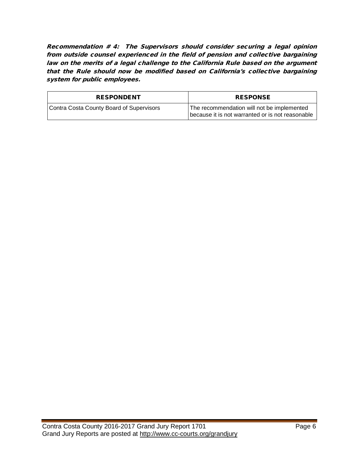Recommendation # 4: The Supervisors should consider securing a legal opinion from outside counsel experienced in the field of pension and collective bargaining law on the merits of a legal challenge to the California Rule based on the argument that the Rule should now be modified based on California's collective bargaining system for public employees.

| <b>RESPONDENT</b>                        | <b>RESPONSE</b>                                                                                |
|------------------------------------------|------------------------------------------------------------------------------------------------|
| Contra Costa County Board of Supervisors | The recommendation will not be implemented<br>because it is not warranted or is not reasonable |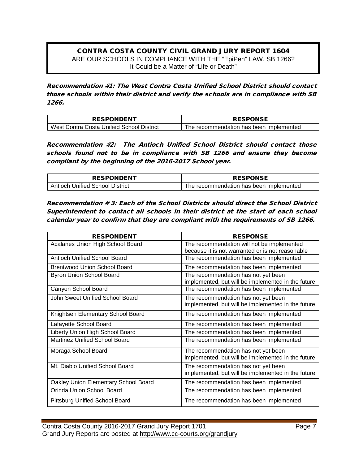#### CONTRA COSTA COUNTY CIVIL GRAND JURY REPORT 1604 ARE OUR SCHOOLS IN COMPLIANCE WITH THE "EpiPen" LAW, SB 1266? It Could be a Matter of "Life or Death"

Recommendation #1: The West Contra Costa Unified School District should contact those schools within their district and verify the schools are in compliance with SB 1266.

| <b>RESPONDENT</b>                         | <b>RESPONSE</b>                         |
|-------------------------------------------|-----------------------------------------|
| West Contra Costa Unified School District | The recommendation has been implemented |

Recommendation #2: The Antioch Unified School District should contact those schools found not to be in compliance with SB 1266 and ensure they become compliant by the beginning of the 2016-2017 School year.

| <b>RESPONDENT</b>               | <b>RESPONSE</b>                          |
|---------------------------------|------------------------------------------|
| Antioch Unified School District | The recommendation has been implemented. |

Recommendation # 3: Each of the School Districts should direct the School District Superintendent to contact all schools in their district at the start of each school calendar year to confirm that they are compliant with the requirements of SB 1266.

| <b>RESPONDENT</b>                     | <b>RESPONSE</b>                                                                                |
|---------------------------------------|------------------------------------------------------------------------------------------------|
| Acalanes Union High School Board      | The recommendation will not be implemented<br>because it is not warranted or is not reasonable |
| <b>Antioch Unified School Board</b>   | The recommendation has been implemented                                                        |
| <b>Brentwood Union School Board</b>   | The recommendation has been implemented                                                        |
| Byron Union School Board              | The recommendation has not yet been<br>implemented, but will be implemented in the future      |
| Canyon School Board                   | The recommendation has been implemented                                                        |
| John Sweet Unified School Board       | The recommendation has not yet been<br>implemented, but will be implemented in the future      |
| Knightsen Elementary School Board     | The recommendation has been implemented                                                        |
| Lafayette School Board                | The recommendation has been implemented                                                        |
| Liberty Union High School Board       | The recommendation has been implemented                                                        |
| <b>Martinez Unified School Board</b>  | The recommendation has been implemented                                                        |
| Moraga School Board                   | The recommendation has not yet been<br>implemented, but will be implemented in the future      |
| Mt. Diablo Unified School Board       | The recommendation has not yet been<br>implemented, but will be implemented in the future      |
| Oakley Union Elementary School Board  | The recommendation has been implemented                                                        |
| Orinda Union School Board             | The recommendation has been implemented                                                        |
| <b>Pittsburg Unified School Board</b> | The recommendation has been implemented                                                        |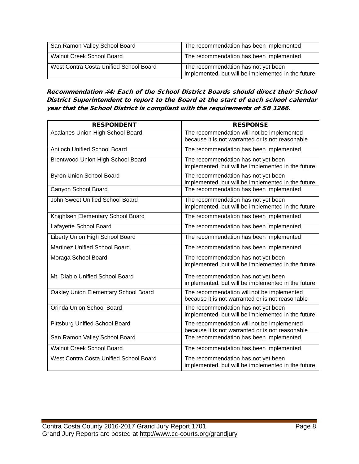| San Ramon Valley School Board          | The recommendation has been implemented                                                   |
|----------------------------------------|-------------------------------------------------------------------------------------------|
| <b>Walnut Creek School Board</b>       | The recommendation has been implemented                                                   |
| West Contra Costa Unified School Board | The recommendation has not yet been<br>implemented, but will be implemented in the future |

Recommendation #4: Each of the School District Boards should direct their School District Superintendent to report to the Board at the start of each school calendar year that the School District is compliant with the requirements of SB 1266.

| <b>RESPONDENT</b>                      | <b>RESPONSE</b>                                                                                |
|----------------------------------------|------------------------------------------------------------------------------------------------|
| Acalanes Union High School Board       | The recommendation will not be implemented                                                     |
|                                        | because it is not warranted or is not reasonable                                               |
| <b>Antioch Unified School Board</b>    | The recommendation has been implemented                                                        |
| Brentwood Union High School Board      | The recommendation has not yet been<br>implemented, but will be implemented in the future      |
| <b>Byron Union School Board</b>        | The recommendation has not yet been<br>implemented, but will be implemented in the future      |
| Canyon School Board                    | The recommendation has been implemented                                                        |
| John Sweet Unified School Board        | The recommendation has not yet been<br>implemented, but will be implemented in the future      |
|                                        |                                                                                                |
| Knightsen Elementary School Board      | The recommendation has been implemented                                                        |
| Lafayette School Board                 | The recommendation has been implemented                                                        |
| Liberty Union High School Board        | The recommendation has been implemented                                                        |
| Martinez Unified School Board          | The recommendation has been implemented                                                        |
| Moraga School Board                    | The recommendation has not yet been<br>implemented, but will be implemented in the future      |
| Mt. Diablo Unified School Board        | The recommendation has not yet been<br>implemented, but will be implemented in the future      |
| Oakley Union Elementary School Board   | The recommendation will not be implemented<br>because it is not warranted or is not reasonable |
| Orinda Union School Board              | The recommendation has not yet been<br>implemented, but will be implemented in the future      |
| <b>Pittsburg Unified School Board</b>  | The recommendation will not be implemented<br>because it is not warranted or is not reasonable |
| San Ramon Valley School Board          | The recommendation has been implemented                                                        |
| Walnut Creek School Board              | The recommendation has been implemented                                                        |
| West Contra Costa Unified School Board | The recommendation has not yet been<br>implemented, but will be implemented in the future      |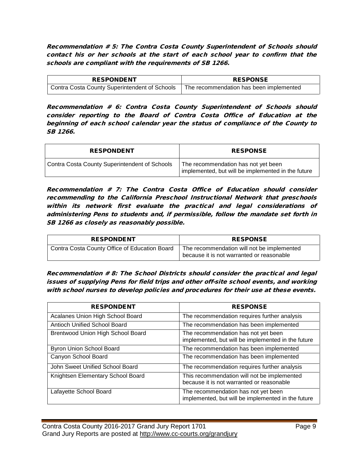Recommendation # 5: The Contra Costa County Superintendent of Schools should contact his or her schools at the start of each school year to confirm that the schools are compliant with the requirements of SB 1266.

| <b>RESPONDENT</b>                             | <b>RESPONSE</b>                         |
|-----------------------------------------------|-----------------------------------------|
| Contra Costa County Superintendent of Schools | The recommendation has been implemented |

Recommendation # 6: Contra Costa County Superintendent of Schools should consider reporting to the Board of Contra Costa Office of Education at the beginning of each school calendar year the status of compliance of the County to SB 1266.

| <b>RESPONDENT</b>                             | <b>RESPONSE</b>                                                                           |
|-----------------------------------------------|-------------------------------------------------------------------------------------------|
| Contra Costa County Superintendent of Schools | The recommendation has not yet been<br>implemented, but will be implemented in the future |

Recommendation # 7: The Contra Costa Office of Education should consider recommending to the California Preschool Instructional Network that preschools within its network first evaluate the practical and legal considerations of administering Pens to students and, if permissible, follow the mandate set forth in SB 1266 as closely as reasonably possible.

| <b>RESPONDENT</b>                             | <b>RESPONSE</b>                                                                         |
|-----------------------------------------------|-----------------------------------------------------------------------------------------|
| Contra Costa County Office of Education Board | The recommendation will not be implemented<br>because it is not warranted or reasonable |

Recommendation # 8: The School Districts should consider the practical and legal issues of supplying Pens for field trips and other off-site school events, and working with school nurses to develop policies and procedures for their use at these events.

| <b>RESPONDENT</b>                 | <b>RESPONSE</b>                                                                           |
|-----------------------------------|-------------------------------------------------------------------------------------------|
| Acalanes Union High School Board  | The recommendation requires further analysis                                              |
| Antioch Unified School Board      | The recommendation has been implemented                                                   |
| Brentwood Union High School Board | The recommendation has not yet been<br>implemented, but will be implemented in the future |
| Byron Union School Board          | The recommendation has been implemented                                                   |
| Canyon School Board               | The recommendation has been implemented                                                   |
| John Sweet Unified School Board   | The recommendation requires further analysis                                              |
| Knightsen Elementary School Board | This recommendation will not be implemented<br>because it is not warranted or reasonable  |
| Lafayette School Board            | The recommendation has not yet been<br>implemented, but will be implemented in the future |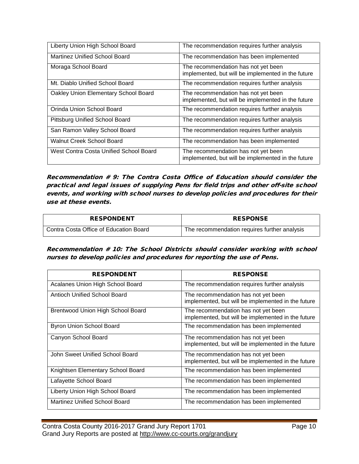| Liberty Union High School Board        | The recommendation requires further analysis                                              |
|----------------------------------------|-------------------------------------------------------------------------------------------|
| Martinez Unified School Board          | The recommendation has been implemented                                                   |
| Moraga School Board                    | The recommendation has not yet been<br>implemented, but will be implemented in the future |
| Mt. Diablo Unified School Board        | The recommendation requires further analysis                                              |
| Oakley Union Elementary School Board   | The recommendation has not yet been<br>implemented, but will be implemented in the future |
| Orinda Union School Board              | The recommendation requires further analysis                                              |
| Pittsburg Unified School Board         | The recommendation requires further analysis                                              |
| San Ramon Valley School Board          | The recommendation requires further analysis                                              |
| Walnut Creek School Board              | The recommendation has been implemented                                                   |
| West Contra Costa Unified School Board | The recommendation has not yet been<br>implemented, but will be implemented in the future |

Recommendation # 9: The Contra Costa Office of Education should consider the practical and legal issues of supplying Pens for field trips and other off-site school events, and working with school nurses to develop policies and procedures for their use at these events.

| <b>RESPONDENT</b>                      | <b>RESPONSE</b>                              |
|----------------------------------------|----------------------------------------------|
| Contra Costa Office of Education Board | The recommendation requires further analysis |

#### Recommendation # 10: The School Districts should consider working with school nurses to develop policies and procedures for reporting the use of Pens.

| <b>RESPONDENT</b>                        | <b>RESPONSE</b>                                                                           |
|------------------------------------------|-------------------------------------------------------------------------------------------|
| Acalanes Union High School Board         | The recommendation requires further analysis                                              |
| Antioch Unified School Board             | The recommendation has not yet been<br>implemented, but will be implemented in the future |
| <b>Brentwood Union High School Board</b> | The recommendation has not yet been<br>implemented, but will be implemented in the future |
| <b>Byron Union School Board</b>          | The recommendation has been implemented                                                   |
| Canyon School Board                      | The recommendation has not yet been<br>implemented, but will be implemented in the future |
| John Sweet Unified School Board          | The recommendation has not yet been<br>implemented, but will be implemented in the future |
| Knightsen Elementary School Board        | The recommendation has been implemented                                                   |
| Lafayette School Board                   | The recommendation has been implemented                                                   |
| Liberty Union High School Board          | The recommendation has been implemented                                                   |
| Martinez Unified School Board            | The recommendation has been implemented                                                   |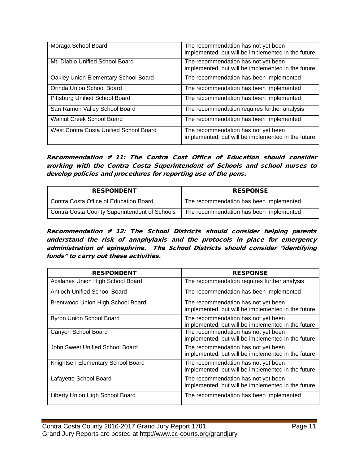| Moraga School Board                    | The recommendation has not yet been<br>implemented, but will be implemented in the future |
|----------------------------------------|-------------------------------------------------------------------------------------------|
| Mt. Diablo Unified School Board        | The recommendation has not yet been<br>implemented, but will be implemented in the future |
| Oakley Union Elementary School Board   | The recommendation has been implemented                                                   |
| Orinda Union School Board              | The recommendation has been implemented                                                   |
| Pittsburg Unified School Board         | The recommendation has been implemented                                                   |
| San Ramon Valley School Board          | The recommendation requires further analysis                                              |
| <b>Walnut Creek School Board</b>       | The recommendation has been implemented                                                   |
| West Contra Costa Unified School Board | The recommendation has not yet been<br>implemented, but will be implemented in the future |

Recommendation # 11: The Contra Cost Office of Education should consider working with the Contra Costa Superintendent of Schools and school nurses to develop policies and procedures for reporting use of the pens.

| <b>RESPONDENT</b>                             | <b>RESPONSE</b>                         |
|-----------------------------------------------|-----------------------------------------|
| Contra Costa Office of Education Board        | The recommendation has been implemented |
| Contra Costa County Superintendent of Schools | The recommendation has been implemented |

Recommendation # 12: The School Districts should consider helping parents understand the risk of anaphylaxis and the protocols in place for emergency administration of epinephrine. The School Districts should consider "identifying funds" to carry out these activities.

| <b>RESPONDENT</b>                 | <b>RESPONSE</b>                                                                           |
|-----------------------------------|-------------------------------------------------------------------------------------------|
| Acalanes Union High School Board  | The recommendation requires further analysis                                              |
| Antioch Unified School Board      | The recommendation has been implemented                                                   |
| Brentwood Union High School Board | The recommendation has not yet been<br>implemented, but will be implemented in the future |
| Byron Union School Board          | The recommendation has not yet been<br>implemented, but will be implemented in the future |
| Canyon School Board               | The recommendation has not yet been<br>implemented, but will be implemented in the future |
| John Sweet Unified School Board   | The recommendation has not yet been<br>implemented, but will be implemented in the future |
| Knightsen Elementary School Board | The recommendation has not yet been<br>implemented, but will be implemented in the future |
| Lafayette School Board            | The recommendation has not yet been<br>implemented, but will be implemented in the future |
| Liberty Union High School Board   | The recommendation has been implemented                                                   |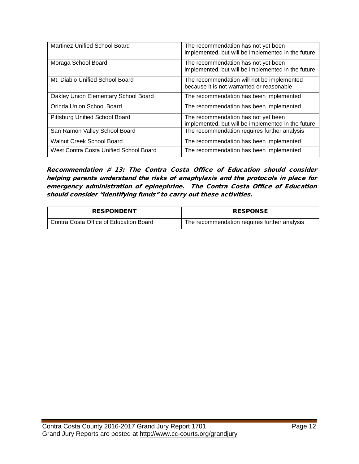| <b>Martinez Unified School Board</b>   | The recommendation has not yet been<br>implemented, but will be implemented in the future |
|----------------------------------------|-------------------------------------------------------------------------------------------|
| Moraga School Board                    | The recommendation has not yet been<br>implemented, but will be implemented in the future |
| Mt. Diablo Unified School Board        | The recommendation will not be implemented<br>because it is not warranted or reasonable   |
| Oakley Union Elementary School Board   | The recommendation has been implemented                                                   |
| Orinda Union School Board              | The recommendation has been implemented                                                   |
| Pittsburg Unified School Board         | The recommendation has not yet been<br>implemented, but will be implemented in the future |
| San Ramon Valley School Board          | The recommendation requires further analysis                                              |
| <b>Walnut Creek School Board</b>       | The recommendation has been implemented                                                   |
| West Contra Costa Unified School Board | The recommendation has been implemented                                                   |

Recommendation # 13: The Contra Costa Office of Education should consider helping parents understand the risks of anaphylaxis and the protocols in place for emergency administration of epinephrine. The Contra Costa Office of Education should consider "identifying funds" to carry out these activities.

| <b>RESPONDENT</b>                      | <b>RESPONSE</b>                              |
|----------------------------------------|----------------------------------------------|
| Contra Costa Office of Education Board | The recommendation requires further analysis |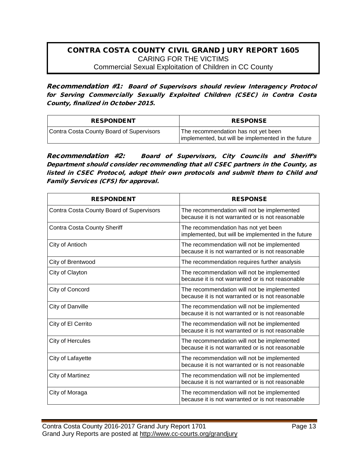#### CONTRA COSTA COUNTY CIVIL GRAND JURY REPORT 1605 CARING FOR THE VICTIMS Commercial Sexual Exploitation of Children in CC County

Recommendation #1: Board of Supervisors should review Interagency Protocol for Serving Commercially Sexually Exploited Children (CSEC) in Contra Costa County, finalized in October 2015.

| <b>RESPONDENT</b>                        | <b>RESPONSE</b>                                                                           |
|------------------------------------------|-------------------------------------------------------------------------------------------|
| Contra Costa County Board of Supervisors | The recommendation has not yet been<br>implemented, but will be implemented in the future |

Recommendation #2: Board of Supervisors, City Councils and Sheriff's Department should consider recommending that all CSEC partners in the County, as listed in CSEC Protocol, adopt their own protocols and submit them to Child and Family Services (CFS) for approval.

| <b>RESPONDENT</b>                        | <b>RESPONSE</b>                                                                                |
|------------------------------------------|------------------------------------------------------------------------------------------------|
| Contra Costa County Board of Supervisors | The recommendation will not be implemented<br>because it is not warranted or is not reasonable |
| Contra Costa County Sheriff              | The recommendation has not yet been<br>implemented, but will be implemented in the future      |
| City of Antioch                          | The recommendation will not be implemented<br>because it is not warranted or is not reasonable |
| City of Brentwood                        | The recommendation requires further analysis                                                   |
| City of Clayton                          | The recommendation will not be implemented<br>because it is not warranted or is not reasonable |
| City of Concord                          | The recommendation will not be implemented<br>because it is not warranted or is not reasonable |
| City of Danville                         | The recommendation will not be implemented<br>because it is not warranted or is not reasonable |
| City of El Cerrito                       | The recommendation will not be implemented<br>because it is not warranted or is not reasonable |
| City of Hercules                         | The recommendation will not be implemented<br>because it is not warranted or is not reasonable |
| City of Lafayette                        | The recommendation will not be implemented<br>because it is not warranted or is not reasonable |
| City of Martinez                         | The recommendation will not be implemented<br>because it is not warranted or is not reasonable |
| City of Moraga                           | The recommendation will not be implemented<br>because it is not warranted or is not reasonable |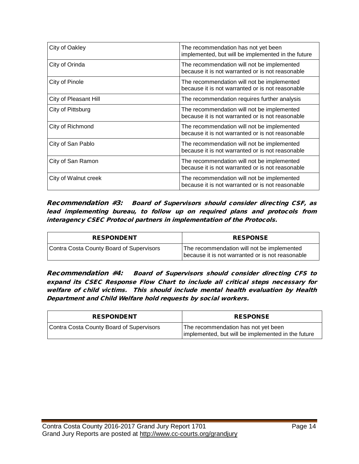| City of Oakley        | The recommendation has not yet been<br>implemented, but will be implemented in the future      |
|-----------------------|------------------------------------------------------------------------------------------------|
| City of Orinda        | The recommendation will not be implemented<br>because it is not warranted or is not reasonable |
| City of Pinole        | The recommendation will not be implemented<br>because it is not warranted or is not reasonable |
| City of Pleasant Hill | The recommendation requires further analysis                                                   |
| City of Pittsburg     | The recommendation will not be implemented<br>because it is not warranted or is not reasonable |
| City of Richmond      | The recommendation will not be implemented<br>because it is not warranted or is not reasonable |
| City of San Pablo     | The recommendation will not be implemented<br>because it is not warranted or is not reasonable |
| City of San Ramon     | The recommendation will not be implemented<br>because it is not warranted or is not reasonable |
| City of Walnut creek  | The recommendation will not be implemented<br>because it is not warranted or is not reasonable |

Recommendation #3: Board of Supervisors should consider directing CSF, as lead implementing bureau, to follow up on required plans and protocols from interagency CSEC Protocol partners in implementation of the Protocols.

| <b>RESPONDENT</b>                        | <b>RESPONSE</b>                                                                                |
|------------------------------------------|------------------------------------------------------------------------------------------------|
| Contra Costa County Board of Supervisors | The recommendation will not be implemented<br>because it is not warranted or is not reasonable |

Recommendation #4: Board of Supervisors should consider directing CFS to expand its CSEC Response Flow Chart to include all critical steps necessary for welfare of child victims. This should include mental health evaluation by Health Department and Child Welfare hold requests by social workers.

| <b>RESPONDENT</b>                        | <b>RESPONSE</b>                                                                           |
|------------------------------------------|-------------------------------------------------------------------------------------------|
| Contra Costa County Board of Supervisors | The recommendation has not yet been<br>implemented, but will be implemented in the future |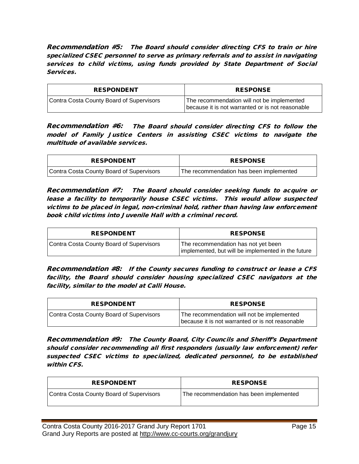Recommendation #5: The Board should consider directing CFS to train or hire specialized CSEC personnel to serve as primary referrals and to assist in navigating services to child victims, using funds provided by State Department of Social Services.

| <b>RESPONDENT</b>                        | <b>RESPONSE</b>                                                                                |
|------------------------------------------|------------------------------------------------------------------------------------------------|
| Contra Costa County Board of Supervisors | The recommendation will not be implemented<br>because it is not warranted or is not reasonable |

Recommendation #6: The Board should consider directing CFS to follow the model of Family Justice Centers in assisting CSEC victims to navigate the multitude of available services.

| <b>RESPONDENT</b>                        | <b>RESPONSE</b>                         |
|------------------------------------------|-----------------------------------------|
| Contra Costa County Board of Supervisors | The recommendation has been implemented |

Recommendation #7: The Board should consider seeking funds to acquire or lease a facility to temporarily house CSEC victims. This would allow suspected victims to be placed in legal, non-criminal hold, rather than having law enforcement book child victims into Juvenile Hall with a criminal record.

| <b>RESPONDENT</b>                        | <b>RESPONSE</b>                                                                           |
|------------------------------------------|-------------------------------------------------------------------------------------------|
| Contra Costa County Board of Supervisors | The recommendation has not yet been<br>implemented, but will be implemented in the future |

Recommendation #8: If the County secures funding to construct or lease a CFS facility, the Board should consider housing specialized CSEC navigators at the facility, similar to the model at Calli House.

| <b>RESPONDENT</b>                        | <b>RESPONSE</b>                                                                                |
|------------------------------------------|------------------------------------------------------------------------------------------------|
| Contra Costa County Board of Supervisors | The recommendation will not be implemented<br>because it is not warranted or is not reasonable |

Recommendation #9: The County Board, City Councils and Sheriff's Department should consider recommending all first responders (usually law enforcement) refer suspected CSEC victims to specialized, dedicated personnel, to be established within CFS.

| <b>RESPONDENT</b>                        | <b>RESPONSE</b>                         |
|------------------------------------------|-----------------------------------------|
| Contra Costa County Board of Supervisors | The recommendation has been implemented |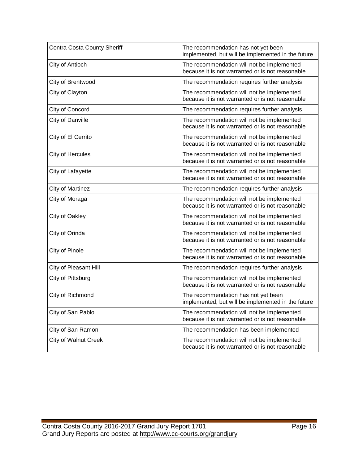| <b>Contra Costa County Sheriff</b> | The recommendation has not yet been<br>implemented, but will be implemented in the future      |
|------------------------------------|------------------------------------------------------------------------------------------------|
| City of Antioch                    | The recommendation will not be implemented<br>because it is not warranted or is not reasonable |
| City of Brentwood                  | The recommendation requires further analysis                                                   |
| City of Clayton                    | The recommendation will not be implemented<br>because it is not warranted or is not reasonable |
| City of Concord                    | The recommendation requires further analysis                                                   |
| City of Danville                   | The recommendation will not be implemented<br>because it is not warranted or is not reasonable |
| City of El Cerrito                 | The recommendation will not be implemented<br>because it is not warranted or is not reasonable |
| City of Hercules                   | The recommendation will not be implemented<br>because it is not warranted or is not reasonable |
| City of Lafayette                  | The recommendation will not be implemented<br>because it is not warranted or is not reasonable |
| <b>City of Martinez</b>            | The recommendation requires further analysis                                                   |
| City of Moraga                     | The recommendation will not be implemented<br>because it is not warranted or is not reasonable |
| City of Oakley                     | The recommendation will not be implemented<br>because it is not warranted or is not reasonable |
| City of Orinda                     | The recommendation will not be implemented<br>because it is not warranted or is not reasonable |
| City of Pinole                     | The recommendation will not be implemented<br>because it is not warranted or is not reasonable |
| City of Pleasant Hill              | The recommendation requires further analysis                                                   |
| City of Pittsburg                  | The recommendation will not be implemented<br>because it is not warranted or is not reasonable |
| City of Richmond                   | The recommendation has not yet been<br>implemented, but will be implemented in the future      |
| City of San Pablo                  | The recommendation will not be implemented<br>because it is not warranted or is not reasonable |
| City of San Ramon                  | The recommendation has been implemented                                                        |
| <b>City of Walnut Creek</b>        | The recommendation will not be implemented<br>because it is not warranted or is not reasonable |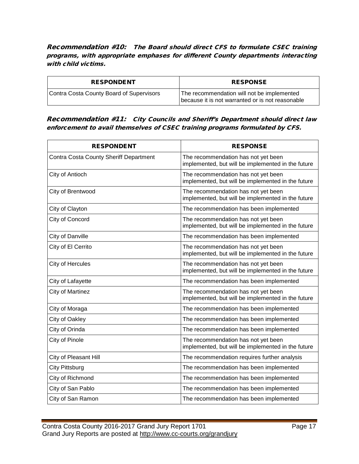Recommendation #10: The Board should direct CFS to formulate CSEC training programs, with appropriate emphases for different County departments interacting with child victims.

| <b>RESPONDENT</b>                        | <b>RESPONSE</b>                                                                                |
|------------------------------------------|------------------------------------------------------------------------------------------------|
| Contra Costa County Board of Supervisors | The recommendation will not be implemented<br>because it is not warranted or is not reasonable |

#### Recommendation #11: City Councils and Sheriff's Department should direct law enforcement to avail themselves of CSEC training programs formulated by CFS.

| <b>RESPONDENT</b>                             | <b>RESPONSE</b>                                                                           |
|-----------------------------------------------|-------------------------------------------------------------------------------------------|
| <b>Contra Costa County Sheriff Department</b> | The recommendation has not yet been<br>implemented, but will be implemented in the future |
| City of Antioch                               | The recommendation has not yet been<br>implemented, but will be implemented in the future |
| City of Brentwood                             | The recommendation has not yet been<br>implemented, but will be implemented in the future |
| City of Clayton                               | The recommendation has been implemented                                                   |
| City of Concord                               | The recommendation has not yet been<br>implemented, but will be implemented in the future |
| City of Danville                              | The recommendation has been implemented                                                   |
| City of El Cerrito                            | The recommendation has not yet been<br>implemented, but will be implemented in the future |
| City of Hercules                              | The recommendation has not yet been<br>implemented, but will be implemented in the future |
| City of Lafayette                             | The recommendation has been implemented                                                   |
| <b>City of Martinez</b>                       | The recommendation has not yet been<br>implemented, but will be implemented in the future |
| City of Moraga                                | The recommendation has been implemented                                                   |
| City of Oakley                                | The recommendation has been implemented                                                   |
| City of Orinda                                | The recommendation has been implemented                                                   |
| City of Pinole                                | The recommendation has not yet been<br>implemented, but will be implemented in the future |
| City of Pleasant Hill                         | The recommendation requires further analysis                                              |
| City Pittsburg                                | The recommendation has been implemented                                                   |
| City of Richmond                              | The recommendation has been implemented                                                   |
| City of San Pablo                             | The recommendation has been implemented                                                   |
| City of San Ramon                             | The recommendation has been implemented                                                   |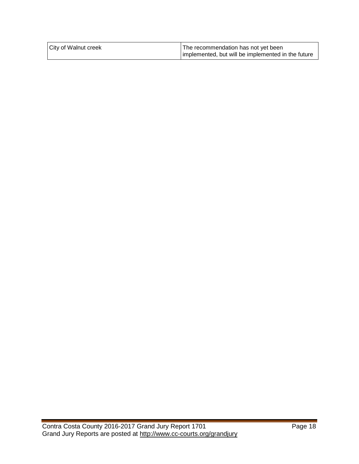| <b>City of Walnut creek</b> | The recommendation has not yet been                |
|-----------------------------|----------------------------------------------------|
|                             | implemented, but will be implemented in the future |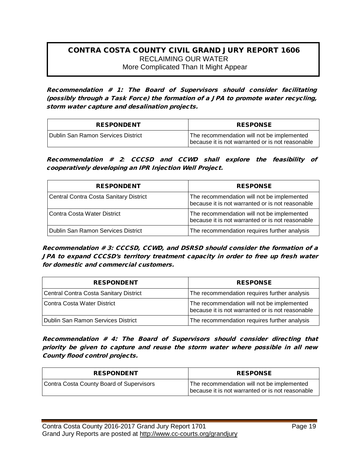#### CONTRA COSTA COUNTY CIVIL GRAND JURY REPORT 1606 RECLAIMING OUR WATER More Complicated Than It Might Appear

Recommendation # 1: The Board of Supervisors should consider facilitating (possibly through a Task Force) the formation of a JPA to promote water recycling, storm water capture and desalination projects.

| <b>RESPONDENT</b>                  | <b>RESPONSE</b>                                                                                |
|------------------------------------|------------------------------------------------------------------------------------------------|
| Dublin San Ramon Services District | The recommendation will not be implemented<br>because it is not warranted or is not reasonable |

Recommendation # 2*:* CCCSD and CCWD shall explore the feasibility of cooperatively developing an IPR Injection Well Project.

| <b>RESPONDENT</b>                             | <b>RESPONSE</b>                                                                                |
|-----------------------------------------------|------------------------------------------------------------------------------------------------|
| <b>Central Contra Costa Sanitary District</b> | The recommendation will not be implemented<br>because it is not warranted or is not reasonable |
| Contra Costa Water District                   | The recommendation will not be implemented<br>because it is not warranted or is not reasonable |
| Dublin San Ramon Services District            | The recommendation requires further analysis                                                   |

Recommendation # 3: CCCSD, CCWD, and DSRSD should consider the formation of a JPA to expand CCCSD's territory treatment capacity in order to free up fresh water for domestic and commercial customers.

| <b>RESPONDENT</b>                             | <b>RESPONSE</b>                                                                                |
|-----------------------------------------------|------------------------------------------------------------------------------------------------|
| <b>Central Contra Costa Sanitary District</b> | The recommendation requires further analysis                                                   |
| Contra Costa Water District                   | The recommendation will not be implemented<br>because it is not warranted or is not reasonable |
| Dublin San Ramon Services District            | The recommendation requires further analysis                                                   |

Recommendation # 4: The Board of Supervisors should consider directing that priority be given to capture and reuse the storm water where possible in all new County flood control projects.

| <b>RESPONDENT</b>                        | <b>RESPONSE</b>                                                                                |
|------------------------------------------|------------------------------------------------------------------------------------------------|
| Contra Costa County Board of Supervisors | The recommendation will not be implemented<br>because it is not warranted or is not reasonable |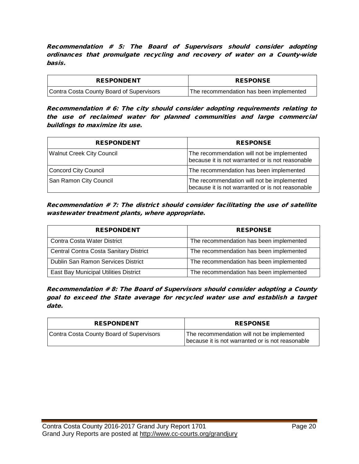Recommendation # 5: The Board of Supervisors should consider adopting ordinances that promulgate recycling and recovery of water on a County-wide basis.

| <b>RESPONDENT</b>                        | <b>RESPONSE</b>                         |
|------------------------------------------|-----------------------------------------|
| Contra Costa County Board of Supervisors | The recommendation has been implemented |

Recommendation # 6: The city should consider adopting requirements relating to the use of reclaimed water for planned communities and large commercial buildings to maximize its use.

| <b>RESPONDENT</b>                | <b>RESPONSE</b>                                                                                |
|----------------------------------|------------------------------------------------------------------------------------------------|
| <b>Walnut Creek City Council</b> | The recommendation will not be implemented<br>because it is not warranted or is not reasonable |
| <b>Concord City Council</b>      | The recommendation has been implemented                                                        |
| San Ramon City Council           | The recommendation will not be implemented<br>because it is not warranted or is not reasonable |

Recommendation # 7: The district should consider facilitating the use of satellite wastewater treatment plants, where appropriate.

| <b>RESPONDENT</b>                      | <b>RESPONSE</b>                         |
|----------------------------------------|-----------------------------------------|
| Contra Costa Water District            | The recommendation has been implemented |
| Central Contra Costa Sanitary District | The recommendation has been implemented |
| Dublin San Ramon Services District     | The recommendation has been implemented |
| East Bay Municipal Utilities District  | The recommendation has been implemented |

Recommendation # 8: The Board of Supervisors should consider adopting a County goal to exceed the State average for recycled water use and establish a target date.

| <b>RESPONDENT</b>                        | <b>RESPONSE</b>                                                                                |
|------------------------------------------|------------------------------------------------------------------------------------------------|
| Contra Costa County Board of Supervisors | The recommendation will not be implemented<br>because it is not warranted or is not reasonable |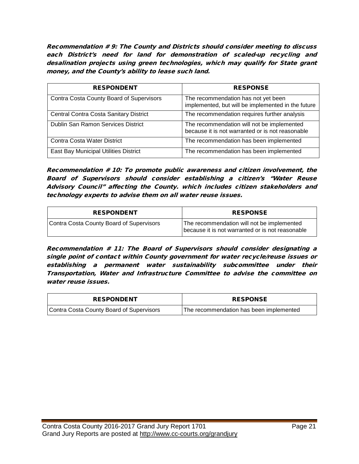Recommendation # 9: The County and Districts should consider meeting to discuss each District's need for land for demonstration of scaled-up recycling and desalination projects using green technologies, which may qualify for State grant money, and the County's ability to lease such land.

| <b>RESPONDENT</b>                             | <b>RESPONSE</b>                                                                                |
|-----------------------------------------------|------------------------------------------------------------------------------------------------|
|                                               |                                                                                                |
| Contra Costa County Board of Supervisors      | The recommendation has not yet been<br>implemented, but will be implemented in the future      |
| <b>Central Contra Costa Sanitary District</b> | The recommendation requires further analysis                                                   |
| Dublin San Ramon Services District            | The recommendation will not be implemented<br>because it is not warranted or is not reasonable |
| Contra Costa Water District                   | The recommendation has been implemented                                                        |
| East Bay Municipal Utilities District         | The recommendation has been implemented                                                        |

Recommendation # 10: To promote public awareness and citizen involvement, the Board of Supervisors should consider establishing a citizen's "Water Reuse Advisory Council" affecting the County. which includes citizen stakeholders and technology experts to advise them on all water reuse issues.

| <b>RESPONDENT</b>                        | <b>RESPONSE</b>                                                                                |
|------------------------------------------|------------------------------------------------------------------------------------------------|
| Contra Costa County Board of Supervisors | The recommendation will not be implemented<br>because it is not warranted or is not reasonable |

Recommendation # 11: The Board of Supervisors should consider designating a single point of contact within County government for water recycle/reuse issues or establishing a permanent water sustainability subcommittee under their Transportation, Water and Infrastructure Committee to advise the committee on water reuse issues.

| <b>RESPONDENT</b>                        | <b>RESPONSE</b>                         |
|------------------------------------------|-----------------------------------------|
| Contra Costa County Board of Supervisors | The recommendation has been implemented |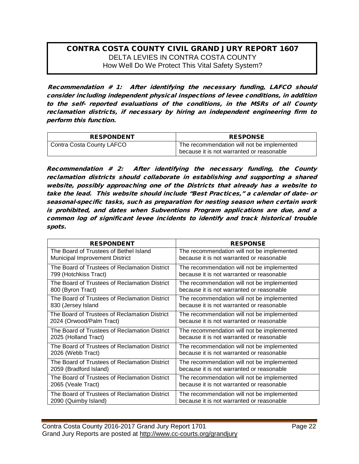#### CONTRA COSTA COUNTY CIVIL GRAND JURY REPORT 1607 DELTA LEVIES IN CONTRA COSTA COUNTY How Well Do We Protect This Vital Safety System?

Recommendation # 1: After identifying the necessary funding, LAFCO should consider including independent physical inspections of levee conditions, in addition to the self- reported evaluations of the conditions, in the MSRs of all County reclamation districts, if necessary by hiring an independent engineering firm to perform this function.

| <b>RESPONDENT</b>         | <b>RESPONSE</b>                                                                         |
|---------------------------|-----------------------------------------------------------------------------------------|
| Contra Costa County LAFCO | The recommendation will not be implemented<br>because it is not warranted or reasonable |

Recommendation # 2: After identifying the necessary funding, the County reclamation districts should collaborate in establishing and supporting a shared website, possibly approaching one of the Districts that already has a website to take the lead. This website should include "Best Practices," a calendar of date- or seasonal-specific tasks, such as preparation for nesting season when certain work is prohibited, and dates when Subventions Program applications are due, and a common log of significant levee incidents to identify and track historical trouble spots.

| <b>RESPONDENT</b>                             | <b>RESPONSE</b>                            |
|-----------------------------------------------|--------------------------------------------|
| The Board of Trustees of Bethel Island        | The recommendation will not be implemented |
| Municipal Improvement District                | because it is not warranted or reasonable  |
| The Board of Trustees of Reclamation District | The recommendation will not be implemented |
| 799 (Hotchkiss Tract)                         | because it is not warranted or reasonable  |
| The Board of Trustees of Reclamation District | The recommendation will not be implemented |
| 800 (Byron Tract)                             | because it is not warranted or reasonable  |
| The Board of Trustees of Reclamation District | The recommendation will not be implemented |
| 830 (Jersey Island                            | because it is not warranted or reasonable  |
| The Board of Trustees of Reclamation District | The recommendation will not be implemented |
| 2024 (Orwood/Palm Tract)                      | because it is not warranted or reasonable  |
| The Board of Trustees of Reclamation District | The recommendation will not be implemented |
| 2025 (Holland Tract)                          | because it is not warranted or reasonable  |
| The Board of Trustees of Reclamation District | The recommendation will not be implemented |
| 2026 (Webb Tract)                             | because it is not warranted or reasonable  |
| The Board of Trustees of Reclamation District | The recommendation will not be implemented |
| 2059 (Bradford Island)                        | because it is not warranted or reasonable  |
| The Board of Trustees of Reclamation District | The recommendation will not be implemented |
| 2065 (Veale Tract)                            | because it is not warranted or reasonable  |
| The Board of Trustees of Reclamation District | The recommendation will not be implemented |
| 2090 (Quimby Island)                          | because it is not warranted or reasonable  |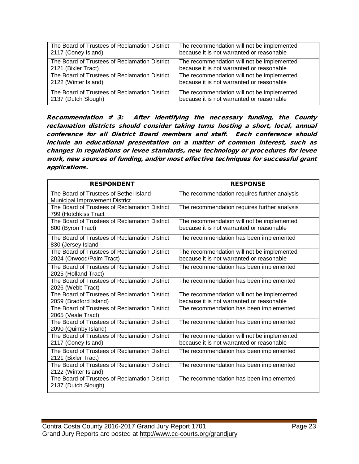| The Board of Trustees of Reclamation District | The recommendation will not be implemented |
|-----------------------------------------------|--------------------------------------------|
| 2117 (Coney Island)                           | because it is not warranted or reasonable  |
| The Board of Trustees of Reclamation District | The recommendation will not be implemented |
| 2121 (Bixler Tract)                           | because it is not warranted or reasonable  |
| The Board of Trustees of Reclamation District | The recommendation will not be implemented |
| 2122 (Winter Island)                          | because it is not warranted or reasonable  |
| The Board of Trustees of Reclamation District | The recommendation will not be implemented |
| 2137 (Dutch Slough)                           | because it is not warranted or reasonable  |

Recommendation  $# 3$ : After identifying the necessary funding, the County reclamation districts should consider taking turns hosting a short, local, annual conference for all District Board members and staff. Each conference should include an educational presentation on a matter of common interest, such as changes in regulations or levee standards, new technology or procedures for levee work, new sources of funding, and/or most effective techniques for successful grant applications.

| <b>RESPONDENT</b>                                                               | <b>RESPONSE</b>                                                                         |
|---------------------------------------------------------------------------------|-----------------------------------------------------------------------------------------|
| The Board of Trustees of Bethel Island<br><b>Municipal Improvement District</b> | The recommendation requires further analysis                                            |
| The Board of Trustees of Reclamation District<br>799 (Hotchkiss Tract           | The recommendation requires further analysis                                            |
| The Board of Trustees of Reclamation District<br>800 (Byron Tract)              | The recommendation will not be implemented<br>because it is not warranted or reasonable |
| The Board of Trustees of Reclamation District<br>830 (Jersey Island             | The recommendation has been implemented                                                 |
| The Board of Trustees of Reclamation District<br>2024 (Orwood/Palm Tract)       | The recommendation will not be implemented<br>because it is not warranted or reasonable |
| The Board of Trustees of Reclamation District<br>2025 (Holland Tract)           | The recommendation has been implemented                                                 |
| The Board of Trustees of Reclamation District<br>2026 (Webb Tract)              | The recommendation has been implemented                                                 |
| The Board of Trustees of Reclamation District<br>2059 (Bradford Island)         | The recommendation will not be implemented<br>because it is not warranted or reasonable |
| The Board of Trustees of Reclamation District<br>2065 (Veale Tract)             | The recommendation has been implemented                                                 |
| The Board of Trustees of Reclamation District<br>2090 (Quimby Island)           | The recommendation has been implemented                                                 |
| The Board of Trustees of Reclamation District<br>2117 (Coney Island)            | The recommendation will not be implemented<br>because it is not warranted or reasonable |
| The Board of Trustees of Reclamation District<br>2121 (Bixler Tract)            | The recommendation has been implemented                                                 |
| The Board of Trustees of Reclamation District<br>2122 (Winter Island)           | The recommendation has been implemented                                                 |
| The Board of Trustees of Reclamation District<br>2137 (Dutch Slough)            | The recommendation has been implemented                                                 |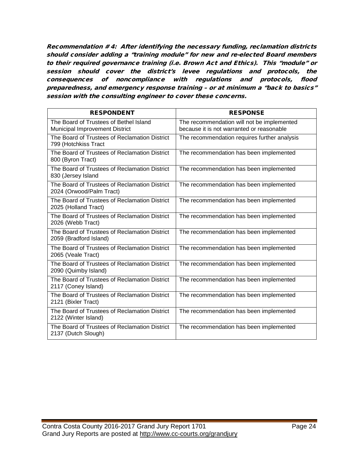Recommendation # 4: After identifying the necessary funding, reclamation districts should consider adding a "training module" for new and re-elected Board members to their required governance training (i.e. Brown Act and Ethics). This "module" or session should cover the district's levee regulations and protocols, the consequences of noncompliance with regulations and protocols, flood preparedness, and emergency response training – or at minimum a "back to basics" session with the consulting engineer to cover these concerns.

| <b>RESPONDENT</b>                                                               | <b>RESPONSE</b>                                                                         |
|---------------------------------------------------------------------------------|-----------------------------------------------------------------------------------------|
| The Board of Trustees of Bethel Island<br><b>Municipal Improvement District</b> | The recommendation will not be implemented<br>because it is not warranted or reasonable |
| The Board of Trustees of Reclamation District<br>799 (Hotchkiss Tract           | The recommendation requires further analysis                                            |
| The Board of Trustees of Reclamation District<br>800 (Byron Tract)              | The recommendation has been implemented                                                 |
| The Board of Trustees of Reclamation District<br>830 (Jersey Island             | The recommendation has been implemented                                                 |
| The Board of Trustees of Reclamation District<br>2024 (Orwood/Palm Tract)       | The recommendation has been implemented                                                 |
| The Board of Trustees of Reclamation District<br>2025 (Holland Tract)           | The recommendation has been implemented                                                 |
| The Board of Trustees of Reclamation District<br>2026 (Webb Tract)              | The recommendation has been implemented                                                 |
| The Board of Trustees of Reclamation District<br>2059 (Bradford Island)         | The recommendation has been implemented                                                 |
| The Board of Trustees of Reclamation District<br>2065 (Veale Tract)             | The recommendation has been implemented                                                 |
| The Board of Trustees of Reclamation District<br>2090 (Quimby Island)           | The recommendation has been implemented                                                 |
| The Board of Trustees of Reclamation District<br>2117 (Coney Island)            | The recommendation has been implemented                                                 |
| The Board of Trustees of Reclamation District<br>2121 (Bixler Tract)            | The recommendation has been implemented                                                 |
| The Board of Trustees of Reclamation District<br>2122 (Winter Island)           | The recommendation has been implemented                                                 |
| The Board of Trustees of Reclamation District<br>2137 (Dutch Slough)            | The recommendation has been implemented                                                 |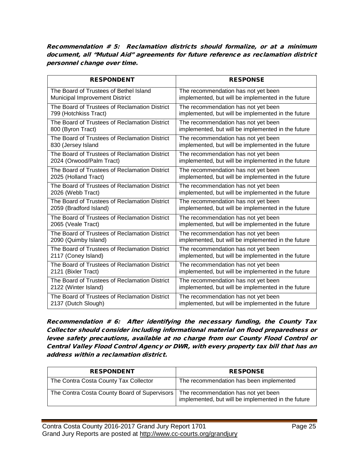Recommendation # 5: Reclamation districts should formalize, or at a minimum document, all "Mutual Aid" agreements for future reference as reclamation district personnel change over time.

| <b>RESPONDENT</b>                             | <b>RESPONSE</b>                                    |
|-----------------------------------------------|----------------------------------------------------|
| The Board of Trustees of Bethel Island        | The recommendation has not yet been                |
| Municipal Improvement District                | implemented, but will be implemented in the future |
| The Board of Trustees of Reclamation District | The recommendation has not yet been                |
| 799 (Hotchkiss Tract)                         | implemented, but will be implemented in the future |
| The Board of Trustees of Reclamation District | The recommendation has not yet been                |
| 800 (Byron Tract)                             | implemented, but will be implemented in the future |
| The Board of Trustees of Reclamation District | The recommendation has not yet been                |
| 830 (Jersey Island                            | implemented, but will be implemented in the future |
| The Board of Trustees of Reclamation District | The recommendation has not yet been                |
| 2024 (Orwood/Palm Tract)                      | implemented, but will be implemented in the future |
| The Board of Trustees of Reclamation District | The recommendation has not yet been                |
| 2025 (Holland Tract)                          | implemented, but will be implemented in the future |
| The Board of Trustees of Reclamation District | The recommendation has not yet been                |
| 2026 (Webb Tract)                             | implemented, but will be implemented in the future |
| The Board of Trustees of Reclamation District | The recommendation has not yet been                |
| 2059 (Bradford Island)                        | implemented, but will be implemented in the future |
| The Board of Trustees of Reclamation District | The recommendation has not yet been                |
| 2065 (Veale Tract)                            | implemented, but will be implemented in the future |
| The Board of Trustees of Reclamation District | The recommendation has not yet been                |
| 2090 (Quimby Island)                          | implemented, but will be implemented in the future |
| The Board of Trustees of Reclamation District | The recommendation has not yet been                |
| 2117 (Coney Island)                           | implemented, but will be implemented in the future |
| The Board of Trustees of Reclamation District | The recommendation has not yet been                |
| 2121 (Bixler Tract)                           | implemented, but will be implemented in the future |
| The Board of Trustees of Reclamation District | The recommendation has not yet been                |
| 2122 (Winter Island)                          | implemented, but will be implemented in the future |
| The Board of Trustees of Reclamation District | The recommendation has not yet been                |
| 2137 (Dutch Slough)                           | implemented, but will be implemented in the future |

Recommendation # 6: After identifying the necessary funding, the County Tax Collector should consider including informational material on flood preparedness or levee safety precautions, available at no charge from our County Flood Control or Central Valley Flood Control Agency or DWR, with every property tax bill that has an address within a reclamation district.

| <b>RESPONDENT</b>                            | <b>RESPONSE</b>                                                                           |
|----------------------------------------------|-------------------------------------------------------------------------------------------|
| The Contra Costa County Tax Collector        | The recommendation has been implemented                                                   |
| The Contra Costa County Board of Supervisors | The recommendation has not yet been<br>implemented, but will be implemented in the future |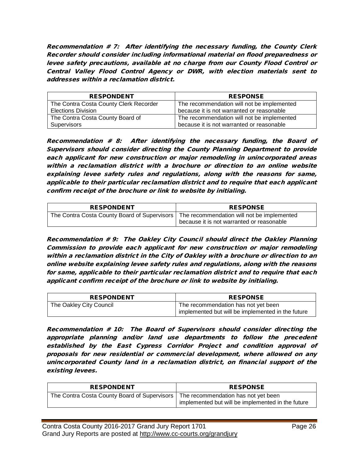Recommendation # 7: After identifying the necessary funding, the County Clerk Recorder should consider including informational material on flood preparedness or levee safety precautions, available at no charge from our County Flood Control or Central Valley Flood Control Agency or DWR, with election materials sent to addresses within a reclamation district.

| <b>RESPONDENT</b>                      | <b>RESPONSE</b>                            |
|----------------------------------------|--------------------------------------------|
| The Contra Costa County Clerk Recorder | The recommendation will not be implemented |
| <b>Elections Division</b>              | because it is not warranted or reasonable  |
| The Contra Costa County Board of       | The recommendation will not be implemented |
| Supervisors                            | because it is not warranted or reasonable  |

Recommendation # 8: After identifying the necessary funding, the Board of Supervisors should consider directing the County Planning Department to provide each applicant for new construction or major remodeling in unincorporated areas within a reclamation district with a brochure or direction to an online website explaining levee safety rules and regulations, along with the reasons for same, applicable to their particular reclamation district and to require that each applicant confirm receipt of the brochure or link to website by initialing.

| <b>RESPONDENT</b>                            | <b>RESPONSE</b>                                                                         |
|----------------------------------------------|-----------------------------------------------------------------------------------------|
| The Contra Costa County Board of Supervisors | The recommendation will not be implemented<br>because it is not warranted or reasonable |

Recommendation # 9: The Oakley City Council should direct the Oakley Planning Commission to provide each applicant for new construction or major remodeling within a reclamation district in the City of Oakley with a brochure or direction to an online website explaining levee safety rules and regulations, along with the reasons for same, applicable to their particular reclamation district and to require that each applicant confirm receipt of the brochure or link to website by initialing.

| <b>RESPONDENT</b>       | <b>RESPONSE</b>                                                                                       |
|-------------------------|-------------------------------------------------------------------------------------------------------|
| The Oakley City Council | <sup>1</sup> The recommendation has not yet been<br>implemented but will be implemented in the future |

Recommendation # 10: The Board of Supervisors should consider directing the appropriate planning and/or land use departments to follow the precedent established by the East Cypress Corridor Project and condition approval of proposals for new residential or commercial development, where allowed on any unincorporated County land in a reclamation district, on financial support of the existing levees.

| <b>RESPONDENT</b>                                                                  | <b>RESPONSE</b>                                   |
|------------------------------------------------------------------------------------|---------------------------------------------------|
| The Contra Costa County Board of Supervisors   The recommendation has not yet been | implemented but will be implemented in the future |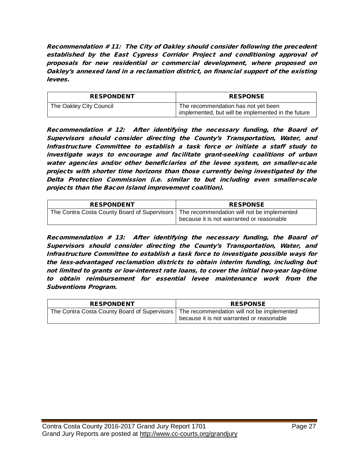Recommendation # 11: The City of Oakley should consider following the precedent established by the East Cypress Corridor Project and conditioning approval of proposals for new residential or commercial development, where proposed on Oakley's annexed land in a reclamation district, on financial support of the existing levees.

| <b>RESPONDENT</b>       | <b>RESPONSE</b>                                                                           |
|-------------------------|-------------------------------------------------------------------------------------------|
| The Oakley City Council | The recommendation has not yet been<br>implemented, but will be implemented in the future |

Recommendation # 12: After identifying the necessary funding, the Board of Supervisors should consider directing the County's Transportation, Water, and Infrastructure Committee to establish a task force or initiate a staff study to investigate ways to encourage and facilitate grant-seeking coalitions of urban water agencies and/or other beneficiaries of the levee system, on smaller-scale projects with shorter time horizons than those currently being investigated by the Delta Protection Commission (i.e. similar to but including even smaller-scale projects than the Bacon Island improvement coalition).

| <b>RESPONDENT</b>                            | <b>RESPONSE</b>                                                                         |
|----------------------------------------------|-----------------------------------------------------------------------------------------|
| The Contra Costa County Board of Supervisors | The recommendation will not be implemented<br>because it is not warranted or reasonable |

Recommendation # 13: After identifying the necessary funding, the Board of Supervisors should consider directing the County's Transportation, Water, and Infrastructure Committee to establish a task force to investigate possible ways for the less-advantaged reclamation districts to obtain interim funding, including but not limited to grants or low-interest rate loans, to cover the initial two-year lag-time to obtain reimbursement for essential levee maintenance work from the Subventions Program.

| <b>RESPONDENT</b>                                                                         | <b>RESPONSE</b>                           |
|-------------------------------------------------------------------------------------------|-------------------------------------------|
| The Contra Costa County Board of Supervisors   The recommendation will not be implemented | because it is not warranted or reasonable |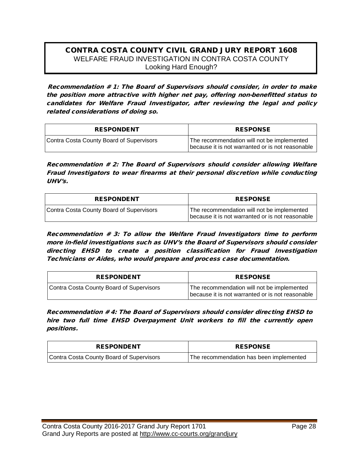## CONTRA COSTA COUNTY CIVIL GRAND JURY REPORT 1608 WELFARE FRAUD INVESTIGATION IN CONTRA COSTA COUNTY Looking Hard Enough?

Recommendation # 1: The Board of Supervisors should consider, in order to make the position more attractive with higher net pay, offering non-benefitted status to candidates for Welfare Fraud Investigator, after reviewing the legal and policy related considerations of doing so.

| <b>RESPONDENT</b>                        | <b>RESPONSE</b>                                                                                |
|------------------------------------------|------------------------------------------------------------------------------------------------|
| Contra Costa County Board of Supervisors | The recommendation will not be implemented<br>because it is not warranted or is not reasonable |

Recommendation # 2: The Board of Supervisors should consider allowing Welfare Fraud Investigators to wear firearms at their personal discretion while conducting UHV's.

| <b>RESPONDENT</b>                        | <b>RESPONSE</b>                                                                                |
|------------------------------------------|------------------------------------------------------------------------------------------------|
| Contra Costa County Board of Supervisors | The recommendation will not be implemented<br>because it is not warranted or is not reasonable |

Recommendation # 3: To allow the Welfare Fraud Investigators time to perform more in-field investigations such as UHV's the Board of Supervisors should consider directing EHSD to create a position classification for Fraud Investigation Technicians or Aides, who would prepare and process case documentation.

| <b>RESPONDENT</b>                        | <b>RESPONSE</b>                                                                                |
|------------------------------------------|------------------------------------------------------------------------------------------------|
| Contra Costa County Board of Supervisors | The recommendation will not be implemented<br>because it is not warranted or is not reasonable |

Recommendation # 4: The Board of Supervisors should consider directing EHSD to hire two full time EHSD Overpayment Unit workers to fill the currently open positions.

| <b>RESPONDENT</b>                        | <b>RESPONSE</b>                         |
|------------------------------------------|-----------------------------------------|
| Contra Costa County Board of Supervisors | The recommendation has been implemented |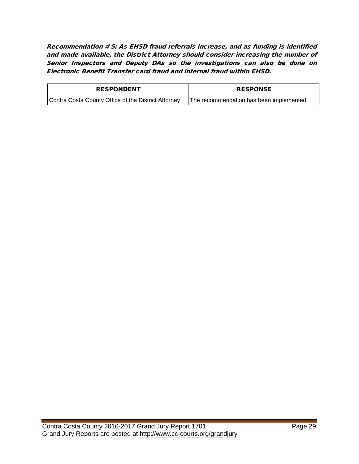Recommendation # 5: As EHSD fraud referrals increase, and as funding is identified and made available, the District Attorney should consider increasing the number of Senior Inspectors and Deputy DAs so the investigations can also be done on Electronic Benefit Transfer card fraud and internal fraud within EHSD.

| <b>RESPONDENT</b>                                   | <b>RESPONSE</b>                         |
|-----------------------------------------------------|-----------------------------------------|
| Contra Costa County Office of the District Attorney | The recommendation has been implemented |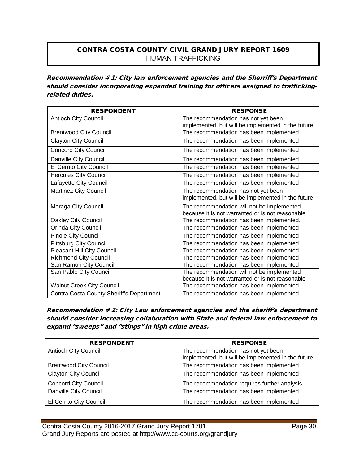# CONTRA COSTA COUNTY CIVIL GRAND JURY REPORT 1609 HUMAN TRAFFICKING

Recommendation # 1: City law enforcement agencies and the Sherriff's Department should consider incorporating expanded training for officers assigned to traffickingrelated duties.

| <b>RESPONDENT</b>                        | <b>RESPONSE</b>                                    |
|------------------------------------------|----------------------------------------------------|
| <b>Antioch City Council</b>              | The recommendation has not yet been                |
|                                          | implemented, but will be implemented in the future |
| <b>Brentwood City Council</b>            | The recommendation has been implemented            |
| <b>Clayton City Council</b>              | The recommendation has been implemented            |
| <b>Concord City Council</b>              | The recommendation has been implemented            |
| Danville City Council                    | The recommendation has been implemented            |
| El Cerrito City Council                  | The recommendation has been implemented            |
| <b>Hercules City Council</b>             | The recommendation has been implemented            |
| Lafayette City Council                   | The recommendation has been implemented            |
| Martinez City Council                    | The recommendation has not yet been                |
|                                          | implemented, but will be implemented in the future |
| Moraga City Council                      | The recommendation will not be implemented         |
|                                          | because it is not warranted or is not reasonable   |
| <b>Oakley City Council</b>               | The recommendation has been implemented.           |
| Orinda City Council                      | The recommendation has been implemented            |
| Pinole City Council                      | The recommendation has been implemented            |
| <b>Pittsburg City Council</b>            | The recommendation has been implemented            |
| <b>Pleasant Hill City Council</b>        | The recommendation has been implemented            |
| <b>Richmond City Council</b>             | The recommendation has been implemented            |
| San Ramon City Council                   | The recommendation has been implemented            |
| San Pablo City Council                   | The recommendation will not be implemented         |
|                                          | because it is not warranted or is not reasonable   |
| <b>Walnut Creek City Council</b>         | The recommendation has been implemented            |
| Contra Costa County Sheriff's Department | The recommendation has been implemented            |

Recommendation # 2: City Law enforcement agencies and the sheriff's department should consider increasing collaboration with State and federal law enforcement to expand "sweeps" and "stings" in high crime areas.

| <b>RESPONDENT</b>             | <b>RESPONSE</b>                                                                           |
|-------------------------------|-------------------------------------------------------------------------------------------|
| <b>Antioch City Council</b>   | The recommendation has not yet been<br>implemented, but will be implemented in the future |
| <b>Brentwood City Council</b> | The recommendation has been implemented                                                   |
| <b>Clayton City Council</b>   | The recommendation has been implemented                                                   |
| <b>Concord City Council</b>   | The recommendation requires further analysis                                              |
| Danville City Council         | The recommendation has been implemented                                                   |
| El Cerrito City Council       | The recommendation has been implemented                                                   |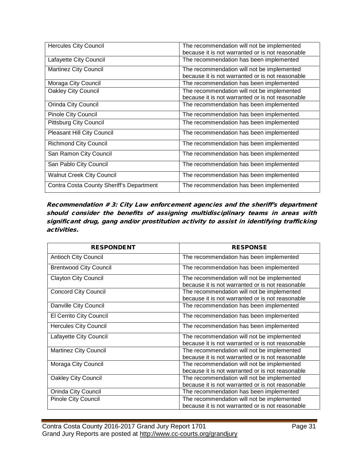| <b>Hercules City Council</b>             | The recommendation will not be implemented<br>because it is not warranted or is not reasonable |
|------------------------------------------|------------------------------------------------------------------------------------------------|
| Lafayette City Council                   | The recommendation has been implemented                                                        |
| <b>Martinez City Council</b>             | The recommendation will not be implemented<br>because it is not warranted or is not reasonable |
| Moraga City Council                      | The recommendation has been implemented                                                        |
| Oakley City Council                      | The recommendation will not be implemented<br>because it is not warranted or is not reasonable |
| Orinda City Council                      | The recommendation has been implemented                                                        |
| Pinole City Council                      | The recommendation has been implemented.                                                       |
| <b>Pittsburg City Council</b>            | The recommendation has been implemented                                                        |
| <b>Pleasant Hill City Council</b>        | The recommendation has been implemented                                                        |
| <b>Richmond City Council</b>             | The recommendation has been implemented                                                        |
| San Ramon City Council                   | The recommendation has been implemented                                                        |
| San Pablo City Council                   | The recommendation has been implemented                                                        |
| <b>Walnut Creek City Council</b>         | The recommendation has been implemented                                                        |
| Contra Costa County Sheriff's Department | The recommendation has been implemented                                                        |

Recommendation # 3: City Law enforcement agencies and the sheriff's department should consider the benefits of assigning multidisciplinary teams in areas with significant drug, gang and/or prostitution activity to assist in identifying trafficking activities.

| <b>RESPONDENT</b>             | <b>RESPONSE</b>                                                                                |
|-------------------------------|------------------------------------------------------------------------------------------------|
| <b>Antioch City Council</b>   | The recommendation has been implemented                                                        |
| <b>Brentwood City Council</b> | The recommendation has been implemented                                                        |
| <b>Clayton City Council</b>   | The recommendation will not be implemented<br>because it is not warranted or is not reasonable |
| <b>Concord City Council</b>   | The recommendation will not be implemented<br>because it is not warranted or is not reasonable |
| Danville City Council         | The recommendation has been implemented                                                        |
| El Cerrito City Council       | The recommendation has been implemented                                                        |
| <b>Hercules City Council</b>  | The recommendation has been implemented                                                        |
| Lafayette City Council        | The recommendation will not be implemented<br>because it is not warranted or is not reasonable |
| <b>Martinez City Council</b>  | The recommendation will not be implemented<br>because it is not warranted or is not reasonable |
| Moraga City Council           | The recommendation will not be implemented<br>because it is not warranted or is not reasonable |
| <b>Oakley City Council</b>    | The recommendation will not be implemented<br>because it is not warranted or is not reasonable |
| Orinda City Council           | The recommendation has been implemented                                                        |
| Pinole City Council           | The recommendation will not be implemented<br>because it is not warranted or is not reasonable |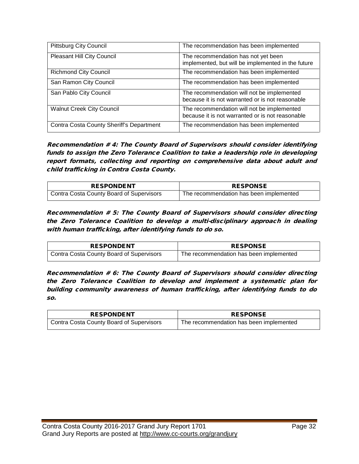| <b>Pittsburg City Council</b>            | The recommendation has been implemented                                                        |
|------------------------------------------|------------------------------------------------------------------------------------------------|
| <b>Pleasant Hill City Council</b>        | The recommendation has not yet been<br>implemented, but will be implemented in the future      |
| <b>Richmond City Council</b>             | The recommendation has been implemented                                                        |
| San Ramon City Council                   | The recommendation has been implemented                                                        |
| San Pablo City Council                   | The recommendation will not be implemented<br>because it is not warranted or is not reasonable |
| <b>Walnut Creek City Council</b>         | The recommendation will not be implemented<br>because it is not warranted or is not reasonable |
| Contra Costa County Sheriff's Department | The recommendation has been implemented                                                        |

Recommendation # 4: The County Board of Supervisors should consider identifying funds to assign the Zero Tolerance Coalition to take a leadership role in developing report formats, collecting and reporting on comprehensive data about adult and child trafficking in Contra Costa County.

| <b>RESPONDENT</b>                        | <b>RESPONSE</b>                         |
|------------------------------------------|-----------------------------------------|
| Contra Costa County Board of Supervisors | The recommendation has been implemented |

Recommendation # 5: The County Board of Supervisors should consider directing the Zero Tolerance Coalition to develop a multi-disciplinary approach in dealing with human trafficking, after identifying funds to do so.

| <b>RESPONDENT</b>                        | <b>RESPONSE</b>                         |
|------------------------------------------|-----------------------------------------|
| Contra Costa County Board of Supervisors | The recommendation has been implemented |

Recommendation # 6: The County Board of Supervisors should consider directing the Zero Tolerance Coalition to develop and implement a systematic plan for building community awareness of human trafficking, after identifying funds to do so.

| <b>RESPONDENT</b>                        | <b>RESPONSE</b>                         |
|------------------------------------------|-----------------------------------------|
| Contra Costa County Board of Supervisors | The recommendation has been implemented |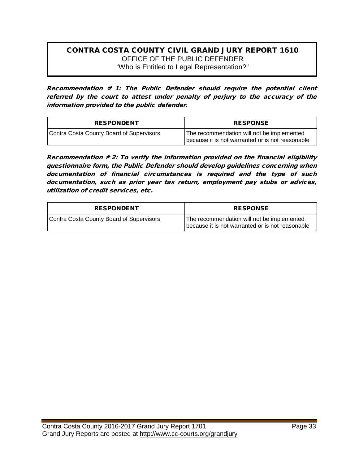# CONTRA COSTA COUNTY CIVIL GRAND JURY REPORT 1610 OFFICE OF THE PUBLIC DEFENDER "Who is Entitled to Legal Representation?"

Recommendation # 1: The Public Defender should require the potential client referred by the court to attest under penalty of perjury to the accuracy of the information provided to the public defender.

| <b>RESPONDENT</b>                        | <b>RESPONSE</b>                                                                                |
|------------------------------------------|------------------------------------------------------------------------------------------------|
| Contra Costa County Board of Supervisors | The recommendation will not be implemented<br>because it is not warranted or is not reasonable |

Recommendation # 2: To verify the information provided on the financial eligibility questionnaire form, the Public Defender should develop guidelines concerning when documentation of financial circumstances is required and the type of such documentation, such as prior year tax return, employment pay stubs or advices, utilization of credit services, etc.

| <b>RESPONDENT</b>                        | <b>RESPONSE</b>                                                                                |
|------------------------------------------|------------------------------------------------------------------------------------------------|
| Contra Costa County Board of Supervisors | The recommendation will not be implemented<br>because it is not warranted or is not reasonable |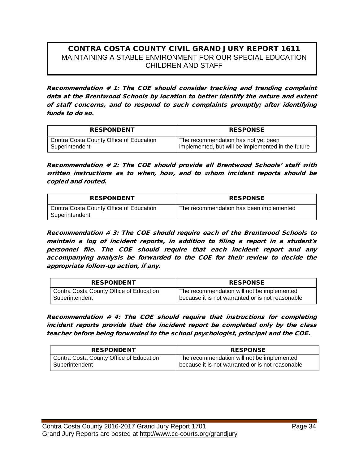# CONTRA COSTA COUNTY CIVIL GRAND JURY REPORT 1611 MAINTAINING A STABLE ENVIRONMENT FOR OUR SPECIAL EDUCATION CHILDREN AND STAFF

Recommendation # 1: The COE should consider tracking and trending complaint data at the Brentwood Schools by location to better identify the nature and extent of staff concerns, and to respond to such complaints promptly; after identifying funds to do so.

| <b>RESPONDENT</b>                       | <b>RESPONSE</b>                                    |
|-----------------------------------------|----------------------------------------------------|
| Contra Costa County Office of Education | The recommendation has not yet been                |
| Superintendent                          | implemented, but will be implemented in the future |

Recommendation # 2: The COE should provide all Brentwood Schools' staff with written instructions as to when, how, and to whom incident reports should be copied and routed.

| <b>RESPONDENT</b>                                         | <b>RESPONSE</b>                         |
|-----------------------------------------------------------|-----------------------------------------|
| Contra Costa County Office of Education<br>Superintendent | The recommendation has been implemented |

Recommendation # 3: The COE should require each of the Brentwood Schools to maintain a log of incident reports, in addition to filing a report in a student's personnel file. The COE should require that each incident report and any accompanying analysis be forwarded to the COE for their review to decide the appropriate follow-up action, if any.

| <b>RESPONDENT</b>                       | <b>RESPONSE</b>                                  |
|-----------------------------------------|--------------------------------------------------|
| Contra Costa County Office of Education | The recommendation will not be implemented       |
| Superintendent                          | because it is not warranted or is not reasonable |

Recommendation # 4: The COE should require that instructions for completing incident reports provide that the incident report be completed only by the class teacher before being forwarded to the school psychologist, principal and the COE.

| <b>RESPONDENT</b>                                         | <b>RESPONSE</b>                                                                                |
|-----------------------------------------------------------|------------------------------------------------------------------------------------------------|
| Contra Costa County Office of Education<br>Superintendent | The recommendation will not be implemented<br>because it is not warranted or is not reasonable |
|                                                           |                                                                                                |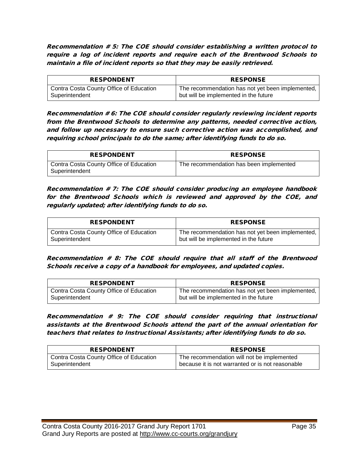Recommendation # 5: The COE should consider establishing a written protocol to require a log of incident reports and require each of the Brentwood Schools to maintain a file of incident reports so that they may be easily retrieved.

| <b>RESPONDENT</b>                       | <b>RESPONSE</b>                                  |
|-----------------------------------------|--------------------------------------------------|
| Contra Costa County Office of Education | The recommendation has not yet been implemented, |
| Superintendent                          | but will be implemented in the future            |

Recommendation # 6: The COE should consider regularly reviewing incident reports from the Brentwood Schools to determine any patterns, needed corrective action, and follow up necessary to ensure such corrective action was accomplished, and requiring school principals to do the same; after identifying funds to do so.

| <b>RESPONDENT</b>                                         | <b>RESPONSE</b>                         |
|-----------------------------------------------------------|-----------------------------------------|
| Contra Costa County Office of Education<br>Superintendent | The recommendation has been implemented |

Recommendation # 7: The COE should consider producing an employee handbook for the Brentwood Schools which is reviewed and approved by the COE, and regularly updated; after identifying funds to do so.

| <b>RESPONDENT</b>                       | <b>RESPONSE</b>                                  |
|-----------------------------------------|--------------------------------------------------|
| Contra Costa County Office of Education | The recommendation has not yet been implemented, |
| Superintendent                          | but will be implemented in the future            |

Recommendation # 8: The COE should require that all staff of the Brentwood Schools receive a copy of a handbook for employees, and updated copies.

| <b>RESPONDENT</b>                       | <b>RESPONSE</b>                                  |
|-----------------------------------------|--------------------------------------------------|
| Contra Costa County Office of Education | The recommendation has not yet been implemented, |
| Superintendent                          | but will be implemented in the future            |

Recommendation # 9: The COE should consider requiring that instructional assistants at the Brentwood Schools attend the part of the annual orientation for teachers that relates to Instructional Assistants; after identifying funds to do so.

| <b>RESPONDENT</b>                         | <b>RESPONSE</b>                                  |
|-------------------------------------------|--------------------------------------------------|
| ' Contra Costa County Office of Education | The recommendation will not be implemented       |
| Superintendent                            | because it is not warranted or is not reasonable |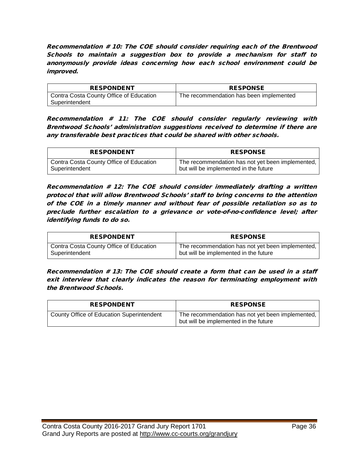Recommendation # 10: The COE should consider requiring each of the Brentwood Schools to maintain a suggestion box to provide a mechanism for staff to anonymously provide ideas concerning how each school environment could be improved.

| <b>RESPONDENT</b>                       | <b>RESPONSE</b>                         |
|-----------------------------------------|-----------------------------------------|
| Contra Costa County Office of Education | The recommendation has been implemented |
| Superintendent                          |                                         |

Recommendation # 11: The COE should consider regularly reviewing with Brentwood Schools' administration suggestions received to determine if there are any transferable best practices that could be shared with other schools.

| <b>RESPONDENT</b>                       | <b>RESPONSE</b>                                  |
|-----------------------------------------|--------------------------------------------------|
| Contra Costa County Office of Education | The recommendation has not yet been implemented, |
| Superintendent                          | but will be implemented in the future            |

Recommendation # 12: The COE should consider immediately drafting a written protocol that will allow Brentwood Schools' staff to bring concerns to the attention of the COE in a timely manner and without fear of possible retaliation so as to preclude further escalation to a grievance or vote-of-no-confidence level; after identifying funds to do so.

| <b>RESPONDENT</b>                       | <b>RESPONSE</b>                                  |
|-----------------------------------------|--------------------------------------------------|
| Contra Costa County Office of Education | The recommendation has not yet been implemented, |
| Superintendent                          | but will be implemented in the future            |

Recommendation # 13: The COE should create a form that can be used in a staff exit interview that clearly indicates the reason for terminating employment with the Brentwood Schools.

| <b>RESPONDENT</b>                         | <b>RESPONSE</b>                                                                           |
|-------------------------------------------|-------------------------------------------------------------------------------------------|
| County Office of Education Superintendent | The recommendation has not yet been implemented,<br>but will be implemented in the future |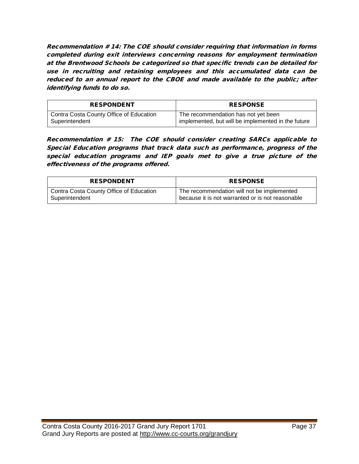Recommendation # 14: The COE should consider requiring that information in forms completed during exit interviews concerning reasons for employment termination at the Brentwood Schools be categorized so that specific trends can be detailed for use in recruiting and retaining employees and this accumulated data can be reduced to an annual report to the CBOE and made available to the public; after identifying funds to do so.

| <b>RESPONDENT</b>                       | <b>RESPONSE</b>                                    |
|-----------------------------------------|----------------------------------------------------|
| Contra Costa County Office of Education | The recommendation has not yet been                |
| Superintendent                          | implemented, but will be implemented in the future |

Recommendation # 15: The COE should consider creating SARCs applicable to Special Education programs that track data such as performance, progress of the special education programs and IEP goals met to give a true picture of the effectiveness of the programs offered.

| <b>RESPONDENT</b>                       | <b>RESPONSE</b>                                  |
|-----------------------------------------|--------------------------------------------------|
| Contra Costa County Office of Education | The recommendation will not be implemented       |
| Superintendent                          | because it is not warranted or is not reasonable |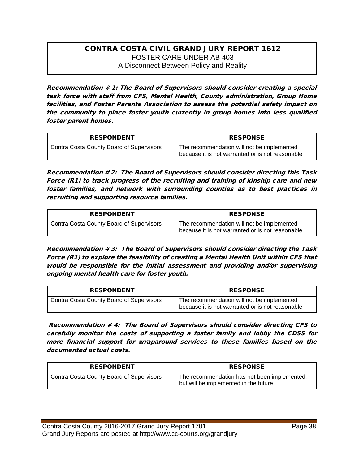#### CONTRA COSTA CIVIL GRAND JURY REPORT 1612 FOSTER CARE UNDER AB 403 A Disconnect Between Policy and Reality

Recommendation # 1: The Board of Supervisors should consider creating a special task force with staff from CFS, Mental Health, County administration, Group Home facilities, and Foster Parents Association to assess the potential safety impact on the community to place foster youth currently in group homes into less qualified foster parent homes.

| <b>RESPONDENT</b>                        | <b>RESPONSE</b>                                                                                |
|------------------------------------------|------------------------------------------------------------------------------------------------|
| Contra Costa County Board of Supervisors | The recommendation will not be implemented<br>because it is not warranted or is not reasonable |

Recommendation # 2: The Board of Supervisors should consider directing this Task Force (R1) to track progress of the recruiting and training of kinship care and new foster families, and network with surrounding counties as to best practices in recruiting and supporting resource families.

| <b>RESPONDENT</b>                        | <b>RESPONSE</b>                                                                                |
|------------------------------------------|------------------------------------------------------------------------------------------------|
| Contra Costa County Board of Supervisors | The recommendation will not be implemented<br>because it is not warranted or is not reasonable |

Recommendation # 3: The Board of Supervisors should consider directing the Task Force (R1) to explore the feasibility of creating a Mental Health Unit within CFS that would be responsible for the initial assessment and providing and/or supervising ongoing mental health care for foster youth.

| <b>RESPONDENT</b>                               | <b>RESPONSE</b>                                                                                |
|-------------------------------------------------|------------------------------------------------------------------------------------------------|
| <b>Contra Costa County Board of Supervisors</b> | The recommendation will not be implemented<br>because it is not warranted or is not reasonable |

Recommendation # 4: The Board of Supervisors should consider directing CFS to carefully monitor the costs of supporting a foster family and lobby the CDSS for more financial support for wraparound services to these families based on the documented actual costs.

| <b>RESPONDENT</b>                        | <b>RESPONSE</b>                                                                       |
|------------------------------------------|---------------------------------------------------------------------------------------|
| Contra Costa County Board of Supervisors | The recommendation has not been implemented,<br>but will be implemented in the future |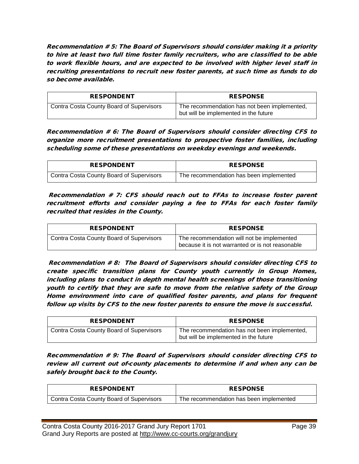Recommendation # 5: The Board of Supervisors should consider making it a priority to hire at least two full time foster family recruiters, who are classified to be able to work flexible hours, and are expected to be involved with higher level staff in recruiting presentations to recruit new foster parents, at such time as funds to do so become available.

| <b>RESPONDENT</b>                               | <b>RESPONSE</b>                                                                       |
|-------------------------------------------------|---------------------------------------------------------------------------------------|
| <b>Contra Costa County Board of Supervisors</b> | The recommendation has not been implemented,<br>but will be implemented in the future |

Recommendation # 6: The Board of Supervisors should consider directing CFS to organize more recruitment presentations to prospective foster families, including scheduling some of these presentations on weekday evenings and weekends.

| <b>RESPONDENT</b>                        | <b>RESPONSE</b>                         |
|------------------------------------------|-----------------------------------------|
| Contra Costa County Board of Supervisors | The recommendation has been implemented |

Recommendation # 7: CFS should reach out to FFAs to increase foster parent recruitment efforts and consider paying a fee to FFAs for each foster family recruited that resides in the County.

| <b>RESPONDENT</b>                        | <b>RESPONSE</b>                                                                                |
|------------------------------------------|------------------------------------------------------------------------------------------------|
| Contra Costa County Board of Supervisors | The recommendation will not be implemented<br>because it is not warranted or is not reasonable |

Recommendation # 8: The Board of Supervisors should consider directing CFS to create specific transition plans for County youth currently in Group Homes, including plans to conduct in depth mental health screenings of those transitioning youth to certify that they are safe to move from the relative safety of the Group Home environment into care of qualified foster parents, and plans for frequent follow up visits by CFS to the new foster parents to ensure the move is successful.

| <b>RESPONDENT</b>                        | <b>RESPONSE</b>                                                                       |
|------------------------------------------|---------------------------------------------------------------------------------------|
| Contra Costa County Board of Supervisors | The recommendation has not been implemented,<br>but will be implemented in the future |

Recommendation # 9: The Board of Supervisors should consider directing CFS to review all current out of-county placements to determine if and when any can be safely brought back to the County.

| <b>RESPONDENT</b>                        | <b>RESPONSE</b>                         |
|------------------------------------------|-----------------------------------------|
| Contra Costa County Board of Supervisors | The recommendation has been implemented |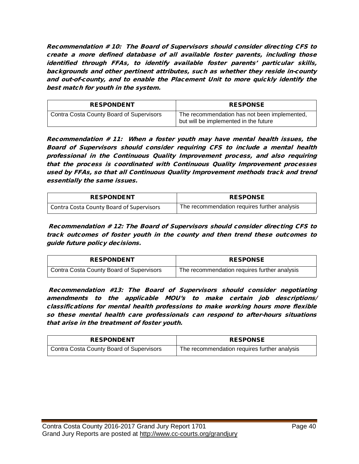Recommendation # 10: The Board of Supervisors should consider directing CFS to create a more defined database of all available foster parents, including those identified through FFAs, to identify available foster parents' particular skills, backgrounds and other pertinent attributes, such as whether they reside in-county and out-of-county, and to enable the Placement Unit to more quickly identify the best match for youth in the system.

| <b>RESPONDENT</b>                        | <b>RESPONSE</b>                                                                       |
|------------------------------------------|---------------------------------------------------------------------------------------|
| Contra Costa County Board of Supervisors | The recommendation has not been implemented,<br>but will be implemented in the future |

Recommendation # 11: When a foster youth may have mental health issues, the Board of Supervisors should consider requiring CFS to include a mental health professional in the Continuous Quality Improvement process, and also requiring that the process is coordinated with Continuous Quality Improvement processes used by FFAs, so that all Continuous Quality Improvement methods track and trend essentially the same issues.

| <b>RESPONDENT</b>                               | <b>RESPONSE</b>                              |
|-------------------------------------------------|----------------------------------------------|
| <b>Contra Costa County Board of Supervisors</b> | The recommendation requires further analysis |

Recommendation # 12: The Board of Supervisors should consider directing CFS to track outcomes of foster youth in the county and then trend these outcomes to guide future policy decisions.

| <b>RESPONDENT</b>                        | <b>RESPONSE</b>                              |
|------------------------------------------|----------------------------------------------|
| Contra Costa County Board of Supervisors | The recommendation requires further analysis |

Recommendation #13: The Board of Supervisors should consider negotiating amendments to the applicable MOU's to make certain job descriptions/ classifications for mental health professions to make working hours more flexible so these mental health care professionals can respond to after-hours situations that arise in the treatment of foster youth.

| <b>RESPONDENT</b>                        | <b>RESPONSE</b>                              |
|------------------------------------------|----------------------------------------------|
| Contra Costa County Board of Supervisors | The recommendation requires further analysis |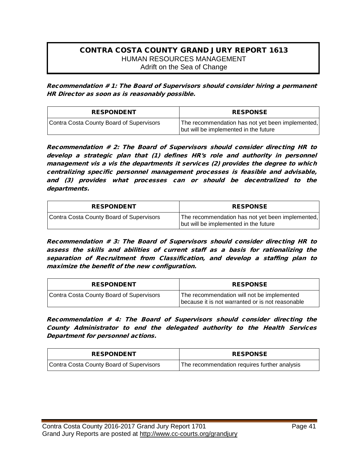#### CONTRA COSTA COUNTY GRAND JURY REPORT 1613 HUMAN RESOURCES MANAGEMENT Adrift on the Sea of Change

Recommendation # 1: The Board of Supervisors should consider hiring a permanent HR Director as soon as is reasonably possible.

| <b>RESPONDENT</b>                        | <b>RESPONSE</b>                                                                           |
|------------------------------------------|-------------------------------------------------------------------------------------------|
| Contra Costa County Board of Supervisors | The recommendation has not yet been implemented,<br>but will be implemented in the future |

Recommendation # 2: The Board of Supervisors should consider directing HR to develop a strategic plan that (1) defines HR's role and authority in personnel management vis a vis the departments it services (2) provides the degree to which centralizing specific personnel management processes is feasible and advisable, and (3) provides what processes can or should be decentralized to the departments.

| <b>RESPONDENT</b>                        | <b>RESPONSE</b>                                                                           |
|------------------------------------------|-------------------------------------------------------------------------------------------|
| Contra Costa County Board of Supervisors | The recommendation has not yet been implemented,<br>but will be implemented in the future |

Recommendation # 3: The Board of Supervisors should consider directing HR to assess the skills and abilities of current staff as a basis for rationalizing the separation of Recruitment from Classification, and develop a staffing plan to maximize the benefit of the new configuration.

| <b>RESPONDENT</b>                        | <b>RESPONSE</b>                                                                                |
|------------------------------------------|------------------------------------------------------------------------------------------------|
| Contra Costa County Board of Supervisors | The recommendation will not be implemented<br>because it is not warranted or is not reasonable |

Recommendation # 4: The Board of Supervisors should consider directing the County Administrator to end the delegated authority to the Health Services Department for personnel actions.

| <b>RESPONDENT</b>                        | <b>RESPONSE</b>                              |
|------------------------------------------|----------------------------------------------|
| Contra Costa County Board of Supervisors | The recommendation requires further analysis |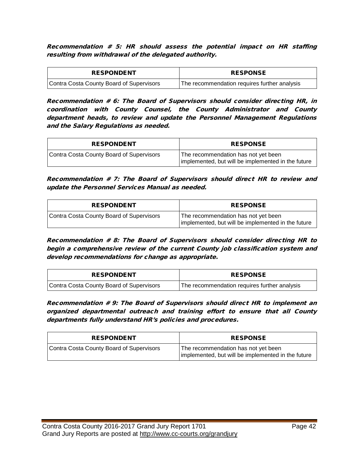Recommendation # 5: HR should assess the potential impact on HR staffing resulting from withdrawal of the delegated authority.

| <b>RESPONDENT</b>                        | <b>RESPONSE</b>                              |
|------------------------------------------|----------------------------------------------|
| Contra Costa County Board of Supervisors | The recommendation requires further analysis |

Recommendation # 6: The Board of Supervisors should consider directing HR, in coordination with County Counsel, the County Administrator and County department heads, to review and update the Personnel Management Regulations and the Salary Regulations as needed.

| <b>RESPONDENT</b>                        | <b>RESPONSE</b>                                                                           |
|------------------------------------------|-------------------------------------------------------------------------------------------|
| Contra Costa County Board of Supervisors | The recommendation has not yet been<br>implemented, but will be implemented in the future |

Recommendation # 7: The Board of Supervisors should direct HR to review and update the Personnel Services Manual as needed.

| <b>RESPONDENT</b>                        | <b>RESPONSE</b>                                                                           |
|------------------------------------------|-------------------------------------------------------------------------------------------|
| Contra Costa County Board of Supervisors | The recommendation has not yet been<br>implemented, but will be implemented in the future |

Recommendation # 8: The Board of Supervisors should consider directing HR to begin a comprehensive review of the current County job classification system and develop recommendations for change as appropriate.

| <b>RESPONDENT</b>                        | <b>RESPONSE</b>                              |
|------------------------------------------|----------------------------------------------|
| Contra Costa County Board of Supervisors | The recommendation requires further analysis |

Recommendation # 9: The Board of Supervisors should direct HR to implement an organized departmental outreach and training effort to ensure that all County departments fully understand HR's policies and procedures.

| <b>RESPONDENT</b>                        | <b>RESPONSE</b>                                                                           |
|------------------------------------------|-------------------------------------------------------------------------------------------|
| Contra Costa County Board of Supervisors | The recommendation has not yet been<br>implemented, but will be implemented in the future |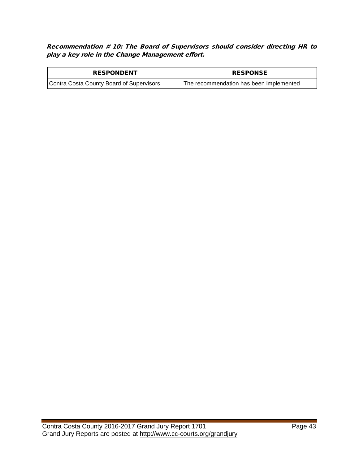Recommendation # 10: The Board of Supervisors should consider directing HR to play a key role in the Change Management effort.

| <b>RESPONDENT</b>                        | <b>RESPONSE</b>                         |
|------------------------------------------|-----------------------------------------|
| Contra Costa County Board of Supervisors | The recommendation has been implemented |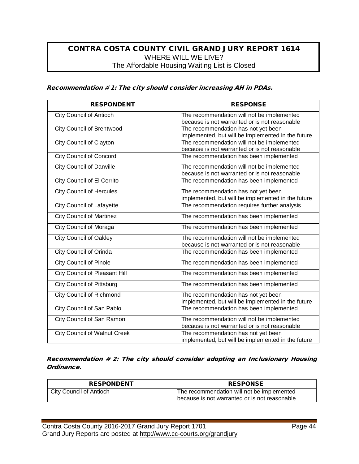## CONTRA COSTA COUNTY CIVIL GRAND JURY REPORT 1614 WHERE WILL WE LIVE? The Affordable Housing Waiting List is Closed

#### Recommendation # 1: The city should consider increasing AH in PDAs.

| <b>RESPONDENT</b>                    | <b>RESPONSE</b>                                    |
|--------------------------------------|----------------------------------------------------|
| <b>City Council of Antioch</b>       | The recommendation will not be implemented         |
|                                      | because is not warranted or is not reasonable      |
| <b>City Council of Brentwood</b>     | The recommendation has not yet been                |
|                                      | implemented, but will be implemented in the future |
| <b>City Council of Clayton</b>       | The recommendation will not be implemented         |
|                                      | because is not warranted or is not reasonable      |
| <b>City Council of Concord</b>       | The recommendation has been implemented            |
| <b>City Council of Danville</b>      | The recommendation will not be implemented         |
|                                      | because is not warranted or is not reasonable      |
| <b>City Council of El Cerrito</b>    | The recommendation has been implemented            |
| <b>City Council of Hercules</b>      | The recommendation has not yet been                |
|                                      | implemented, but will be implemented in the future |
| <b>City Council of Lafayette</b>     | The recommendation requires further analysis       |
| <b>City Council of Martinez</b>      | The recommendation has been implemented            |
| City Council of Moraga               | The recommendation has been implemented            |
| <b>City Council of Oakley</b>        | The recommendation will not be implemented         |
|                                      | because is not warranted or is not reasonable      |
| <b>City Council of Orinda</b>        | The recommendation has been implemented            |
| <b>City Council of Pinole</b>        | The recommendation has been implemented            |
| <b>City Council of Pleasant Hill</b> | The recommendation has been implemented            |
| <b>City Council of Pittsburg</b>     | The recommendation has been implemented            |
| <b>City Council of Richmond</b>      | The recommendation has not yet been                |
|                                      | implemented, but will be implemented in the future |
| City Council of San Pablo            | The recommendation has been implemented            |
| City Council of San Ramon            | The recommendation will not be implemented         |
|                                      | because is not warranted or is not reasonable      |
| <b>City Council of Walnut Creek</b>  | The recommendation has not yet been                |
|                                      | implemented, but will be implemented in the future |

Recommendation # 2: The city should consider adopting an Inclusionary Housing Ordinance.

| <b>RESPONDENT</b>       | <b>RESPONSE</b>                               |
|-------------------------|-----------------------------------------------|
| City Council of Antioch | The recommendation will not be implemented    |
|                         | because is not warranted or is not reasonable |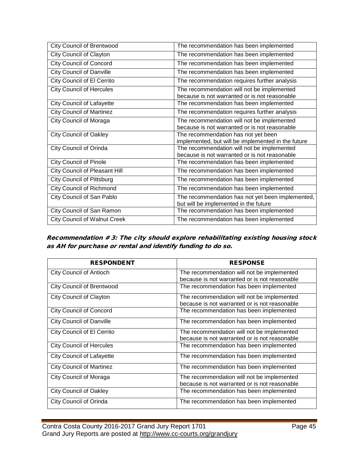| <b>City Council of Brentwood</b>     | The recommendation has been implemented                                                     |
|--------------------------------------|---------------------------------------------------------------------------------------------|
| City Council of Clayton              | The recommendation has been implemented                                                     |
| <b>City Council of Concord</b>       | The recommendation has been implemented                                                     |
| <b>City Council of Danville</b>      | The recommendation has been implemented                                                     |
| City Council of El Cerrito           | The recommendation requires further analysis                                                |
| <b>City Council of Hercules</b>      | The recommendation will not be implemented<br>because is not warranted or is not reasonable |
| <b>City Council of Lafayette</b>     | The recommendation has been implemented                                                     |
| <b>City Council of Martinez</b>      | The recommendation requires further analysis                                                |
| City Council of Moraga               | The recommendation will not be implemented<br>because is not warranted or is not reasonable |
| <b>City Council of Oakley</b>        | The recommendation has not yet been<br>implemented, but will be implemented in the future   |
| City Council of Orinda               | The recommendation will not be implemented<br>because is not warranted or is not reasonable |
| <b>City Council of Pinole</b>        | The recommendation has been implemented                                                     |
| <b>City Council of Pleasant Hill</b> | The recommendation has been implemented                                                     |
| <b>City Council of Pittsburg</b>     | The recommendation has been implemented                                                     |
| <b>City Council of Richmond</b>      | The recommendation has been implemented                                                     |
| City Council of San Pablo            | The recommendation has not yet been implemented,<br>but will be implemented in the future   |
| City Council of San Ramon            | The recommendation has been implemented                                                     |
| <b>City Council of Walnut Creek</b>  | The recommendation has been implemented                                                     |

Recommendation # 3: The city should explore rehabilitating existing housing stock as AH for purchase or rental and identify funding to do so.

| <b>RESPONDENT</b>                | <b>RESPONSE</b>                               |
|----------------------------------|-----------------------------------------------|
| <b>City Council of Antioch</b>   | The recommendation will not be implemented    |
|                                  | because is not warranted or is not reasonable |
| <b>City Council of Brentwood</b> | The recommendation has been implemented       |
| <b>City Council of Clayton</b>   | The recommendation will not be implemented    |
|                                  | because is not warranted or is not reasonable |
| <b>City Council of Concord</b>   | The recommendation has been implemented       |
| <b>City Council of Danville</b>  | The recommendation has been implemented       |
| City Council of El Cerrito       | The recommendation will not be implemented    |
|                                  | because is not warranted or is not reasonable |
| City Council of Hercules         | The recommendation has been implemented       |
| <b>City Council of Lafayette</b> | The recommendation has been implemented       |
| <b>City Council of Martinez</b>  | The recommendation has been implemented       |
| City Council of Moraga           | The recommendation will not be implemented    |
|                                  | because is not warranted or is not reasonable |
| <b>City Council of Oakley</b>    | The recommendation has been implemented       |
| City Council of Orinda           | The recommendation has been implemented       |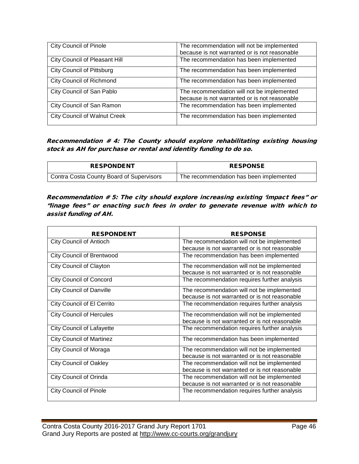| <b>City Council of Pinole</b>        | The recommendation will not be implemented<br>because is not warranted or is not reasonable |
|--------------------------------------|---------------------------------------------------------------------------------------------|
| <b>City Council of Pleasant Hill</b> | The recommendation has been implemented                                                     |
| <b>City Council of Pittsburg</b>     | The recommendation has been implemented                                                     |
| <b>City Council of Richmond</b>      | The recommendation has been implemented                                                     |
| City Council of San Pablo            | The recommendation will not be implemented<br>because is not warranted or is not reasonable |
| City Council of San Ramon            | The recommendation has been implemented                                                     |
| <b>City Council of Walnut Creek</b>  | The recommendation has been implemented                                                     |

Recommendation # 4: The County should explore rehabilitating existing housing stock as AH for purchase or rental and identity funding to do so.

| <b>RESPONDENT</b>                               | <b>RESPONSE</b>                         |
|-------------------------------------------------|-----------------------------------------|
| <b>Contra Costa County Board of Supervisors</b> | The recommendation has been implemented |

Recommendation # 5: The city should explore increasing existing 'impact fees" or "linage fees" or enacting such fees in order to generate revenue with which to assist funding of AH.

| <b>RESPONDENT</b>                | <b>RESPONSE</b>                               |
|----------------------------------|-----------------------------------------------|
| <b>City Council of Antioch</b>   | The recommendation will not be implemented    |
|                                  | because is not warranted or is not reasonable |
| <b>City Council of Brentwood</b> | The recommendation has been implemented       |
| <b>City Council of Clayton</b>   | The recommendation will not be implemented    |
|                                  | because is not warranted or is not reasonable |
| <b>City Council of Concord</b>   | The recommendation requires further analysis  |
| <b>City Council of Danville</b>  | The recommendation will not be implemented    |
|                                  | because is not warranted or is not reasonable |
| City Council of El Cerrito       | The recommendation requires further analysis  |
| <b>City Council of Hercules</b>  | The recommendation will not be implemented    |
|                                  | because is not warranted or is not reasonable |
| <b>City Council of Lafayette</b> | The recommendation requires further analysis  |
| <b>City Council of Martinez</b>  | The recommendation has been implemented       |
| <b>City Council of Moraga</b>    | The recommendation will not be implemented    |
|                                  | because is not warranted or is not reasonable |
| <b>City Council of Oakley</b>    | The recommendation will not be implemented    |
|                                  | because is not warranted or is not reasonable |
| <b>City Council of Orinda</b>    | The recommendation will not be implemented    |
|                                  | because is not warranted or is not reasonable |
| <b>City Council of Pinole</b>    | The recommendation requires further analysis  |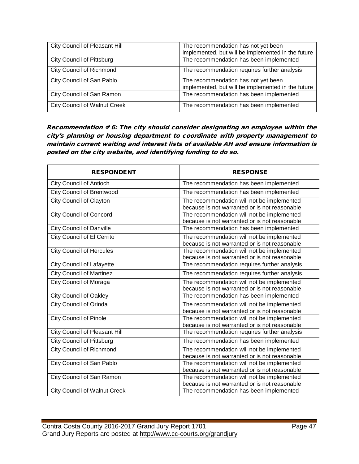| <b>City Council of Pleasant Hill</b> | The recommendation has not yet been<br>implemented, but will be implemented in the future |
|--------------------------------------|-------------------------------------------------------------------------------------------|
| <b>City Council of Pittsburg</b>     | The recommendation has been implemented                                                   |
| <b>City Council of Richmond</b>      | The recommendation requires further analysis                                              |
| City Council of San Pablo            | The recommendation has not yet been<br>implemented, but will be implemented in the future |
| City Council of San Ramon            | The recommendation has been implemented                                                   |
| <b>City Council of Walnut Creek</b>  | The recommendation has been implemented                                                   |

Recommendation # 6: The city should consider designating an employee within the city's planning or housing department to coordinate with property management to maintain current waiting and interest lists of available AH and ensure information is posted on the city website, and identifying funding to do so.

| <b>RESPONDENT</b>                   | <b>RESPONSE</b>                                                                             |
|-------------------------------------|---------------------------------------------------------------------------------------------|
| <b>City Council of Antioch</b>      | The recommendation has been implemented                                                     |
| <b>City Council of Brentwood</b>    | The recommendation has been implemented                                                     |
| <b>City Council of Clayton</b>      | The recommendation will not be implemented<br>because is not warranted or is not reasonable |
| <b>City Council of Concord</b>      | The recommendation will not be implemented<br>because is not warranted or is not reasonable |
| <b>City Council of Danville</b>     | The recommendation has been implemented                                                     |
| City Council of El Cerrito          | The recommendation will not be implemented<br>because is not warranted or is not reasonable |
| <b>City Council of Hercules</b>     | The recommendation will not be implemented<br>because is not warranted or is not reasonable |
| <b>City Council of Lafayette</b>    | The recommendation requires further analysis                                                |
| <b>City Council of Martinez</b>     | The recommendation requires further analysis                                                |
| <b>City Council of Moraga</b>       | The recommendation will not be implemented<br>because is not warranted or is not reasonable |
| <b>City Council of Oakley</b>       | The recommendation has been implemented                                                     |
| <b>City Council of Orinda</b>       | The recommendation will not be implemented<br>because is not warranted or is not reasonable |
| <b>City Council of Pinole</b>       | The recommendation will not be implemented<br>because is not warranted or is not reasonable |
| City Council of Pleasant Hill       | The recommendation requires further analysis                                                |
| <b>City Council of Pittsburg</b>    | The recommendation has been implemented                                                     |
| <b>City Council of Richmond</b>     | The recommendation will not be implemented<br>because is not warranted or is not reasonable |
| City Council of San Pablo           | The recommendation will not be implemented<br>because is not warranted or is not reasonable |
| City Council of San Ramon           | The recommendation will not be implemented<br>because is not warranted or is not reasonable |
| <b>City Council of Walnut Creek</b> | The recommendation has been implemented                                                     |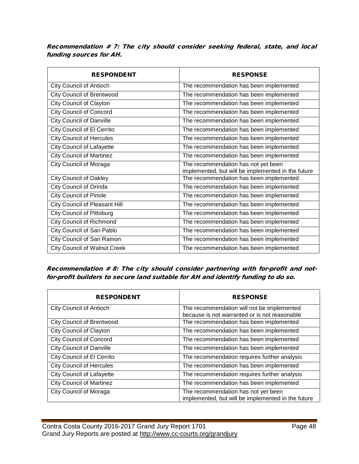Recommendation # 7: The city should consider seeking federal, state, and local funding sources for AH.

| <b>RESPONDENT</b>                    | <b>RESPONSE</b>                                                                           |
|--------------------------------------|-------------------------------------------------------------------------------------------|
| <b>City Council of Antioch</b>       | The recommendation has been implemented                                                   |
| <b>City Council of Brentwood</b>     | The recommendation has been implemented                                                   |
| <b>City Council of Clayton</b>       | The recommendation has been implemented                                                   |
| <b>City Council of Concord</b>       | The recommendation has been implemented                                                   |
| <b>City Council of Danville</b>      | The recommendation has been implemented                                                   |
| City Council of El Cerrito           | The recommendation has been implemented                                                   |
| <b>City Council of Hercules</b>      | The recommendation has been implemented                                                   |
| <b>City Council of Lafayette</b>     | The recommendation has been implemented                                                   |
| <b>City Council of Martinez</b>      | The recommendation has been implemented                                                   |
| <b>City Council of Moraga</b>        | The recommendation has not yet been<br>implemented, but will be implemented in the future |
| <b>City Council of Oakley</b>        | The recommendation has been implemented                                                   |
| <b>City Council of Orinda</b>        | The recommendation has been implemented                                                   |
| <b>City Council of Pinole</b>        | The recommendation has been implemented                                                   |
| <b>City Council of Pleasant Hill</b> | The recommendation has been implemented                                                   |
| <b>City Council of Pittsburg</b>     | The recommendation has been implemented                                                   |
| <b>City Council of Richmond</b>      | The recommendation has been implemented                                                   |
| City Council of San Pablo            | The recommendation has been implemented                                                   |
| City Council of San Ramon            | The recommendation has been implemented                                                   |
| <b>City Council of Walnut Creek</b>  | The recommendation has been implemented                                                   |

Recommendation # 8: The city should consider partnering with for-profit and notfor-profit builders to secure land suitable for AH and identify funding to do so.

| <b>RESPONDENT</b>                 | <b>RESPONSE</b>                                    |
|-----------------------------------|----------------------------------------------------|
| <b>City Council of Antioch</b>    | The recommendation will not be implemented         |
|                                   | because is not warranted or is not reasonable      |
| <b>City Council of Brentwood</b>  | The recommendation has been implemented            |
| City Council of Clayton           | The recommendation has been implemented            |
| <b>City Council of Concord</b>    | The recommendation has been implemented            |
| <b>City Council of Danville</b>   | The recommendation has been implemented            |
| <b>City Council of El Cerrito</b> | The recommendation requires further analysis       |
| <b>City Council of Hercules</b>   | The recommendation has been implemented            |
| <b>City Council of Lafayette</b>  | The recommendation requires further analysis       |
| <b>City Council of Martinez</b>   | The recommendation has been implemented            |
| <b>City Council of Moraga</b>     | The recommendation has not yet been                |
|                                   | implemented, but will be implemented in the future |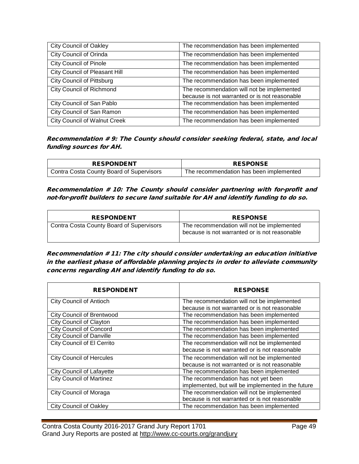| <b>City Council of Oakley</b>        | The recommendation has been implemented                                                     |
|--------------------------------------|---------------------------------------------------------------------------------------------|
| City Council of Orinda               | The recommendation has been implemented                                                     |
| <b>City Council of Pinole</b>        | The recommendation has been implemented                                                     |
| <b>City Council of Pleasant Hill</b> | The recommendation has been implemented                                                     |
| <b>City Council of Pittsburg</b>     | The recommendation has been implemented                                                     |
| <b>City Council of Richmond</b>      | The recommendation will not be implemented<br>because is not warranted or is not reasonable |
| City Council of San Pablo            | The recommendation has been implemented                                                     |
| City Council of San Ramon            | The recommendation has been implemented                                                     |
| <b>City Council of Walnut Creek</b>  | The recommendation has been implemented                                                     |

Recommendation # 9: The County should consider seeking federal, state, and local funding sources for AH.

| <b>RESPONDENT</b>                        | <b>RESPONSE</b>                         |
|------------------------------------------|-----------------------------------------|
| Contra Costa County Board of Supervisors | The recommendation has been implemented |

Recommendation # 10: The County should consider partnering with for-profit and not-for-profit builders to secure land suitable for AH and identify funding to do so.

| <b>RESPONDENT</b>                               | <b>RESPONSE</b>                                                                             |
|-------------------------------------------------|---------------------------------------------------------------------------------------------|
| <b>Contra Costa County Board of Supervisors</b> | The recommendation will not be implemented<br>because is not warranted or is not reasonable |

Recommendation # 11: The city should consider undertaking an education initiative in the earliest phase of affordable planning projects in order to alleviate community concerns regarding AH and identify funding to do so.

| <b>RESPONDENT</b>                | <b>RESPONSE</b>                                    |
|----------------------------------|----------------------------------------------------|
| <b>City Council of Antioch</b>   | The recommendation will not be implemented         |
|                                  | because is not warranted or is not reasonable      |
| <b>City Council of Brentwood</b> | The recommendation has been implemented            |
| <b>City Council of Clayton</b>   | The recommendation has been implemented            |
| <b>City Council of Concord</b>   | The recommendation has been implemented            |
| <b>City Council of Danville</b>  | The recommendation has been implemented            |
| City Council of El Cerrito       | The recommendation will not be implemented         |
|                                  | because is not warranted or is not reasonable      |
| <b>City Council of Hercules</b>  | The recommendation will not be implemented         |
|                                  | because is not warranted or is not reasonable      |
| <b>City Council of Lafayette</b> | The recommendation has been implemented            |
| <b>City Council of Martinez</b>  | The recommendation has not yet been                |
|                                  | implemented, but will be implemented in the future |
| <b>City Council of Moraga</b>    | The recommendation will not be implemented         |
|                                  | because is not warranted or is not reasonable      |
| <b>City Council of Oakley</b>    | The recommendation has been implemented            |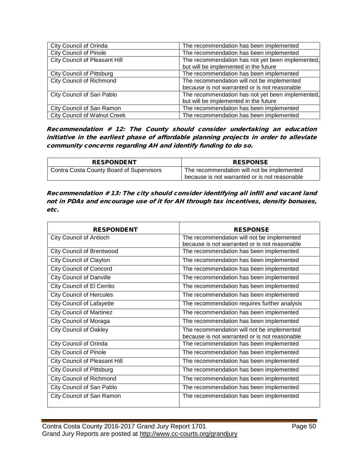| City Council of Orinda               | The recommendation has been implemented          |
|--------------------------------------|--------------------------------------------------|
| <b>City Council of Pinole</b>        | The recommendation has been implemented          |
| <b>City Council of Pleasant Hill</b> | The recommendation has not yet been implemented, |
|                                      | but will be implemented in the future            |
| <b>City Council of Pittsburg</b>     | The recommendation has been implemented          |
| <b>City Council of Richmond</b>      | The recommendation will not be implemented       |
|                                      | because is not warranted or is not reasonable    |
| City Council of San Pablo            | The recommendation has not yet been implemented, |
|                                      | but will be implemented in the future            |
| City Council of San Ramon            | The recommendation has been implemented          |
| <b>City Council of Walnut Creek</b>  | The recommendation has been implemented          |

Recommendation # 12: The County should consider undertaking an education initiative in the earliest phase of affordable planning projects in order to alleviate community concerns regarding AH and identify funding to do so.

| <b>RESPONDENT</b>                        | <b>RESPONSE</b>                               |
|------------------------------------------|-----------------------------------------------|
| Contra Costa County Board of Supervisors | The recommendation will not be implemented    |
|                                          | because is not warranted or is not reasonable |

Recommendation # 13: The city should consider identifying all infill and vacant land not in PDAs and encourage use of it for AH through tax incentives, density bonuses, etc.

| <b>RESPONDENT</b>                | <b>RESPONSE</b>                               |
|----------------------------------|-----------------------------------------------|
| <b>City Council of Antioch</b>   | The recommendation will not be implemented    |
|                                  | because is not warranted or is not reasonable |
| <b>City Council of Brentwood</b> | The recommendation has been implemented       |
| City Council of Clayton          | The recommendation has been implemented       |
| <b>City Council of Concord</b>   | The recommendation has been implemented       |
| <b>City Council of Danville</b>  | The recommendation has been implemented       |
| City Council of El Cerrito       | The recommendation has been implemented       |
| <b>City Council of Hercules</b>  | The recommendation has been implemented       |
| <b>City Council of Lafayette</b> | The recommendation requires further analysis  |
| <b>City Council of Martinez</b>  | The recommendation has been implemented       |
| <b>City Council of Moraga</b>    | The recommendation has been implemented       |
| <b>City Council of Oakley</b>    | The recommendation will not be implemented    |
|                                  | because is not warranted or is not reasonable |
| City Council of Orinda           | The recommendation has been implemented       |
| <b>City Council of Pinole</b>    | The recommendation has been implemented       |
| City Council of Pleasant Hill    | The recommendation has been implemented       |
| <b>City Council of Pittsburg</b> | The recommendation has been implemented       |
| <b>City Council of Richmond</b>  | The recommendation has been implemented       |
| City Council of San Pablo        | The recommendation has been implemented       |
| City Council of San Ramon        | The recommendation has been implemented       |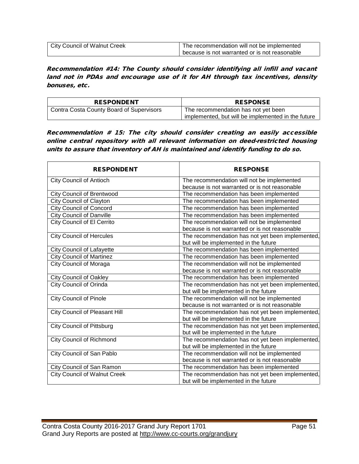| <b>City Council of Walnut Creek</b> | The recommendation will not be implemented    |
|-------------------------------------|-----------------------------------------------|
|                                     | because is not warranted or is not reasonable |

Recommendation #14: The County should consider identifying all infill and vacant land not in PDAs and encourage use of it for AH through tax incentives, density bonuses, etc.

| <b>RESPONDENT</b>                        | <b>RESPONSE</b>                                    |
|------------------------------------------|----------------------------------------------------|
| Contra Costa County Board of Supervisors | The recommendation has not yet been                |
|                                          | implemented, but will be implemented in the future |

Recommendation # 15: The city should consider creating an easily accessible online central repository with all relevant information on deed-restricted housing units to assure that inventory of AH is maintained and identify funding to do so.

| <b>RESPONDENT</b>                   | <b>RESPONSE</b>                                  |
|-------------------------------------|--------------------------------------------------|
| <b>City Council of Antioch</b>      | The recommendation will not be implemented       |
|                                     | because is not warranted or is not reasonable    |
| <b>City Council of Brentwood</b>    | The recommendation has been implemented          |
| <b>City Council of Clayton</b>      | The recommendation has been implemented          |
| <b>City Council of Concord</b>      | The recommendation has been implemented          |
| <b>City Council of Danville</b>     | The recommendation has been implemented          |
| City Council of El Cerrito          | The recommendation will not be implemented       |
|                                     | because is not warranted or is not reasonable    |
| <b>City Council of Hercules</b>     | The recommendation has not yet been implemented, |
|                                     | but will be implemented in the future            |
| <b>City Council of Lafayette</b>    | The recommendation has been implemented          |
| <b>City Council of Martinez</b>     | The recommendation has been implemented          |
| <b>City Council of Moraga</b>       | The recommendation will not be implemented       |
|                                     | because is not warranted or is not reasonable    |
| <b>City Council of Oakley</b>       | The recommendation has been implemented          |
| <b>City Council of Orinda</b>       | The recommendation has not yet been implemented, |
|                                     | but will be implemented in the future            |
| <b>City Council of Pinole</b>       | The recommendation will not be implemented       |
|                                     | because is not warranted or is not reasonable    |
| City Council of Pleasant Hill       | The recommendation has not yet been implemented, |
|                                     | but will be implemented in the future            |
| <b>City Council of Pittsburg</b>    | The recommendation has not yet been implemented, |
|                                     | but will be implemented in the future            |
| <b>City Council of Richmond</b>     | The recommendation has not yet been implemented, |
|                                     | but will be implemented in the future            |
| City Council of San Pablo           | The recommendation will not be implemented       |
|                                     | because is not warranted or is not reasonable    |
| City Council of San Ramon           | The recommendation has been implemented          |
| <b>City Council of Walnut Creek</b> | The recommendation has not yet been implemented, |
|                                     | but will be implemented in the future            |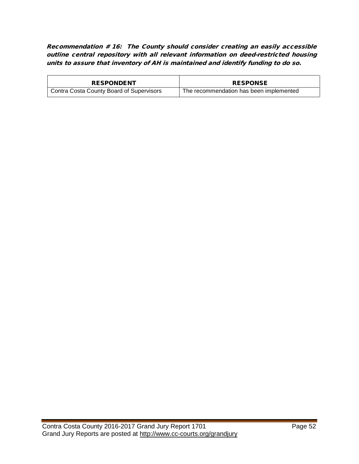Recommendation # 16: The County should consider creating an easily accessible outline central repository with all relevant information on deed-restricted housing units to assure that inventory of AH is maintained and identify funding to do so.

| <b>RESPONDENT</b>                        | <b>RESPONSE</b>                         |
|------------------------------------------|-----------------------------------------|
| Contra Costa County Board of Supervisors | The recommendation has been implemented |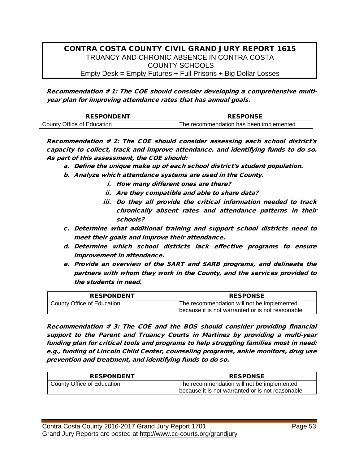#### CONTRA COSTA COUNTY CIVIL GRAND JURY REPORT 1615 TRUANCY AND CHRONIC ABSENCE IN CONTRA COSTA COUNTY SCHOOLS Empty Desk = Empty Futures + Full Prisons + Big Dollar Losses

Recommendation # 1: The COE should consider developing a comprehensive multiyear plan for improving attendance rates that has annual goals.

| <b>RESPONDENT</b>          | <b>RESPONSE</b>                         |
|----------------------------|-----------------------------------------|
| County Office of Education | The recommendation has been implemented |

Recommendation # 2: The COE should consider assessing each school district's capacity to collect, track and improve attendance, and identifying funds to do so. As part of this assessment, the COE should:

- a. Define the unique make up of each school district's student population.
- b. Analyze which attendance systems are used in the County.
	- i. How many different ones are there?
	- ii. Are they compatible and able to share data?
	- iii. Do they all provide the critical information needed to track chronically absent rates and attendance patterns in their schools?
- c. Determine what additional training and support school districts need to meet their goals and improve their attendance.
- d. Determine which school districts lack effective programs to ensure improvement in attendance.
- e. Provide an overview of the SART and SARB programs, and delineate the partners with whom they work in the County, and the services provided to the students in need.

| <b>RESPONDENT</b>          | <b>RESPONSE</b>                                                                                |
|----------------------------|------------------------------------------------------------------------------------------------|
| County Office of Education | The recommendation will not be implemented<br>because it is not warranted or is not reasonable |

Recommendation # 3: The COE and the BOS should consider providing financial support to the Parent and Truancy Courts in Martinez by providing a multi-year funding plan for critical tools and programs to help struggling families most in need: e.g., funding of Lincoln Child Center, counseling programs, ankle monitors, drug use prevention and treatment, and identifying funds to do so.

| <b>RESPONDENT</b>          | <b>RESPONSE</b>                                  |
|----------------------------|--------------------------------------------------|
| County Office of Education | The recommendation will not be implemented       |
|                            | because it is not warranted or is not reasonable |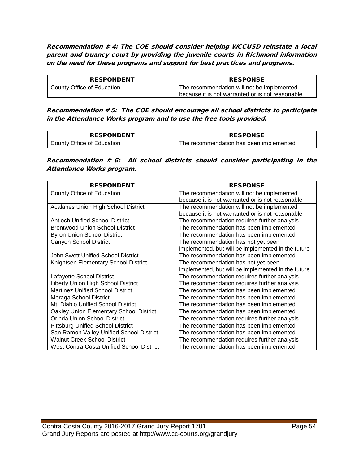Recommendation # 4: The COE should consider helping WCCUSD reinstate a local parent and truancy court by providing the juvenile courts in Richmond information on the need for these programs and support for best practices and programs.

| <b>RESPONDENT</b>          | <b>RESPONSE</b>                                  |
|----------------------------|--------------------------------------------------|
| County Office of Education | The recommendation will not be implemented       |
|                            | because it is not warranted or is not reasonable |

Recommendation # 5: The COE should encourage all school districts to participate in the Attendance Works program and to use the free tools provided.

| <b>RESPONDENT</b>          | <b>RESPONSE</b>                         |
|----------------------------|-----------------------------------------|
| County Office of Education | The recommendation has been implemented |

Recommendation # 6: All school districts should consider participating in the Attendance Works program.

| <b>RESPONDENT</b>                          | <b>RESPONSE</b>                                    |
|--------------------------------------------|----------------------------------------------------|
| County Office of Education                 | The recommendation will not be implemented         |
|                                            | because it is not warranted or is not reasonable   |
| <b>Acalanes Union High School District</b> | The recommendation will not be implemented         |
|                                            | because it is not warranted or is not reasonable   |
| <b>Antioch Unified School District</b>     | The recommendation requires further analysis       |
| <b>Brentwood Union School District</b>     | The recommendation has been implemented            |
| <b>Byron Union School District</b>         | The recommendation has been implemented            |
| Canyon School District                     | The recommendation has not yet been                |
|                                            | implemented, but will be implemented in the future |
| John Swett Unified School District         | The recommendation has been implemented            |
| Knightsen Elementary School District       | The recommendation has not yet been                |
|                                            | implemented, but will be implemented in the future |
| Lafayette School District                  | The recommendation requires further analysis       |
| Liberty Union High School District         | The recommendation requires further analysis       |
| <b>Martinez Unified School District</b>    | The recommendation has been implemented            |
| Moraga School District                     | The recommendation has been implemented            |
| Mt. Diablo Unified School District         | The recommendation has been implemented            |
| Oakley Union Elementary School District    | The recommendation has been implemented            |
| Orinda Union School District               | The recommendation requires further analysis       |
| <b>Pittsburg Unified School District</b>   | The recommendation has been implemented            |
| San Ramon Valley Unified School District   | The recommendation has been implemented            |
| <b>Walnut Creek School District</b>        | The recommendation requires further analysis       |
| West Contra Costa Unified School District  | The recommendation has been implemented            |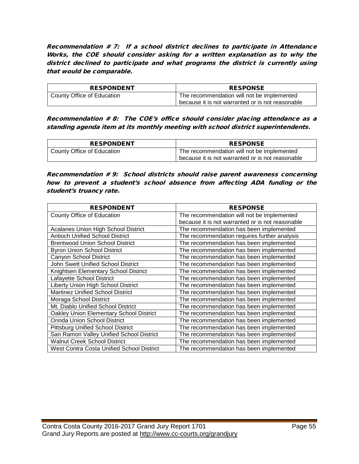Recommendation # 7: If a school district declines to participate in Attendance Works, the COE should consider asking for a written explanation as to why the district declined to participate and what programs the district is currently using that would be comparable.

| <b>RESPONDENT</b>          | <b>RESPONSE</b>                                  |
|----------------------------|--------------------------------------------------|
| County Office of Education | The recommendation will not be implemented       |
|                            | because it is not warranted or is not reasonable |

Recommendation # 8: The COE's office should consider placing attendance as a standing agenda item at its monthly meeting with school district superintendents.

| <b>RESPONDENT</b>          | <b>RESPONSE</b>                                  |
|----------------------------|--------------------------------------------------|
| County Office of Education | The recommendation will not be implemented       |
|                            | because it is not warranted or is not reasonable |

Recommendation # 9: School districts should raise parent awareness concerning how to prevent a student's school absence from affecting ADA funding or the student's truancy rate.

| <b>RESPONDENT</b>                          | <b>RESPONSE</b>                                  |
|--------------------------------------------|--------------------------------------------------|
| County Office of Education                 | The recommendation will not be implemented       |
|                                            | because it is not warranted or is not reasonable |
| <b>Acalanes Union High School District</b> | The recommendation has been implemented          |
| <b>Antioch Unified School District</b>     | The recommendation requires further analysis     |
| <b>Brentwood Union School District</b>     | The recommendation has been implemented          |
| <b>Byron Union School District</b>         | The recommendation has been implemented          |
| Canyon School District                     | The recommendation has been implemented          |
| John Swett Unified School District         | The recommendation has been implemented          |
| Knightsen Elementary School District       | The recommendation has been implemented          |
| Lafayette School District                  | The recommendation has been implemented          |
| Liberty Union High School District         | The recommendation has been implemented          |
| <b>Martinez Unified School District</b>    | The recommendation has been implemented          |
| Moraga School District                     | The recommendation has been implemented          |
| Mt. Diablo Unified School District         | The recommendation has been implemented          |
| Oakley Union Elementary School District    | The recommendation has been implemented          |
| Orinda Union School District               | The recommendation has been implemented          |
| <b>Pittsburg Unified School District</b>   | The recommendation has been implemented          |
| San Ramon Valley Unified School District   | The recommendation has been implemented          |
| <b>Walnut Creek School District</b>        | The recommendation has been implemented          |
| West Contra Costa Unified School District  | The recommendation has been implemented          |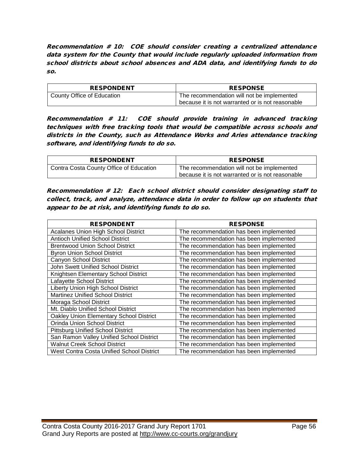Recommendation # 10: COE should consider creating a centralized attendance data system for the County that would include regularly uploaded information from school districts about school absences and ADA data, and identifying funds to do so.

| <b>RESPONDENT</b>          | <b>RESPONSE</b>                                  |
|----------------------------|--------------------------------------------------|
| County Office of Education | The recommendation will not be implemented       |
|                            | because it is not warranted or is not reasonable |

Recommendation # 11: COE should provide training in advanced tracking techniques with free tracking tools that would be compatible across schools and districts in the County, such as Attendance Works and Aries attendance tracking software, and identifying funds to do so.

| <b>RESPONDENT</b>                       | <b>RESPONSE</b>                                                                                |
|-----------------------------------------|------------------------------------------------------------------------------------------------|
| Contra Costa County Office of Education | The recommendation will not be implemented<br>because it is not warranted or is not reasonable |

Recommendation # 12: Each school district should consider designating staff to collect, track, and analyze, attendance data in order to follow up on students that appear to be at risk, and identifying funds to do so.

| <b>RESPONDENT</b>                          | <b>RESPONSE</b>                         |
|--------------------------------------------|-----------------------------------------|
| <b>Acalanes Union High School District</b> | The recommendation has been implemented |
| <b>Antioch Unified School District</b>     | The recommendation has been implemented |
| <b>Brentwood Union School District</b>     | The recommendation has been implemented |
| <b>Byron Union School District</b>         | The recommendation has been implemented |
| Canyon School District                     | The recommendation has been implemented |
| John Swett Unified School District         | The recommendation has been implemented |
| Knightsen Elementary School District       | The recommendation has been implemented |
| Lafayette School District                  | The recommendation has been implemented |
| Liberty Union High School District         | The recommendation has been implemented |
| <b>Martinez Unified School District</b>    | The recommendation has been implemented |
| Moraga School District                     | The recommendation has been implemented |
| Mt. Diablo Unified School District         | The recommendation has been implemented |
| Oakley Union Elementary School District    | The recommendation has been implemented |
| Orinda Union School District               | The recommendation has been implemented |
| <b>Pittsburg Unified School District</b>   | The recommendation has been implemented |
| San Ramon Valley Unified School District   | The recommendation has been implemented |
| <b>Walnut Creek School District</b>        | The recommendation has been implemented |
| West Contra Costa Unified School District  | The recommendation has been implemented |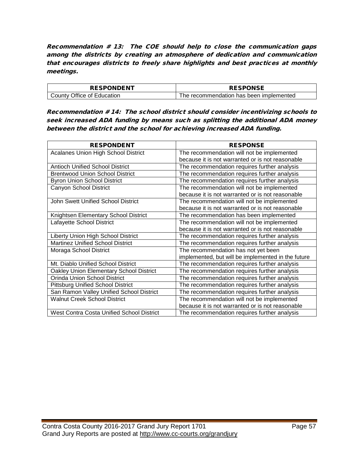Recommendation # 13: The COE should help to close the communication gaps among the districts by creating an atmosphere of dedication and communication that encourages districts to freely share highlights and best practices at monthly meetings.

| <b>RESPONDENT</b>          | <b>RESPONSE</b>                         |
|----------------------------|-----------------------------------------|
| County Office of Education | The recommendation has been implemented |

Recommendation # 14: The school district should consider incentivizing schools to seek increased ADA funding by means such as splitting the additional ADA money between the district and the school for achieving increased ADA funding.

| <b>RESPONDENT</b>                          | <b>RESPONSE</b>                                    |
|--------------------------------------------|----------------------------------------------------|
| <b>Acalanes Union High School District</b> | The recommendation will not be implemented         |
|                                            | because it is not warranted or is not reasonable   |
| <b>Antioch Unified School District</b>     | The recommendation requires further analysis       |
| <b>Brentwood Union School District</b>     | The recommendation requires further analysis       |
| <b>Byron Union School District</b>         | The recommendation requires further analysis       |
| Canyon School District                     | The recommendation will not be implemented         |
|                                            | because it is not warranted or is not reasonable   |
| John Swett Unified School District         | The recommendation will not be implemented         |
|                                            | because it is not warranted or is not reasonable   |
| Knightsen Elementary School District       | The recommendation has been implemented            |
| Lafayette School District                  | The recommendation will not be implemented         |
|                                            | because it is not warranted or is not reasonable   |
| <b>Liberty Union High School District</b>  | The recommendation requires further analysis       |
| <b>Martinez Unified School District</b>    | The recommendation requires further analysis       |
| Moraga School District                     | The recommendation has not yet been                |
|                                            | implemented, but will be implemented in the future |
| Mt. Diablo Unified School District         | The recommendation requires further analysis       |
| Oakley Union Elementary School District    | The recommendation requires further analysis       |
| Orinda Union School District               | The recommendation requires further analysis       |
| <b>Pittsburg Unified School District</b>   | The recommendation requires further analysis       |
| San Ramon Valley Unified School District   | The recommendation requires further analysis       |
| Walnut Creek School District               | The recommendation will not be implemented         |
|                                            | because it is not warranted or is not reasonable   |
| West Contra Costa Unified School District  | The recommendation requires further analysis       |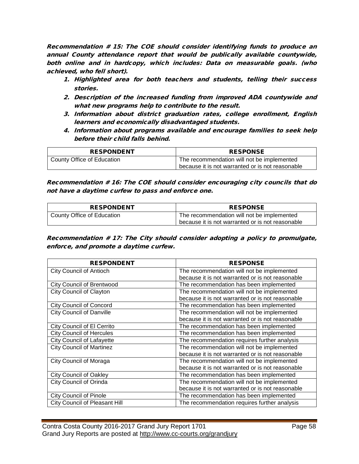Recommendation # 15: The COE should consider identifying funds to produce an annual County attendance report that would be publically available countywide, both online and in hardcopy, which includes: Data on measurable goals. (who achieved, who fell short).

- 1. Highlighted area for both teachers and students, telling their success stories.
- 2. Description of the increased funding from improved ADA countywide and what new programs help to contribute to the result.
- 3. Information about district graduation rates, college enrollment, English learners and economically disadvantaged students.
- 4. Information about programs available and encourage families to seek help before their child falls behind.

| <b>RESPONDENT</b>          | <b>RESPONSE</b>                                                                                |
|----------------------------|------------------------------------------------------------------------------------------------|
| County Office of Education | The recommendation will not be implemented<br>because it is not warranted or is not reasonable |

Recommendation # 16: The COE should consider encouraging city councils that do not have a daytime curfew to pass and enforce one.

| <b>RESPONDENT</b>          | <b>RESPONSE</b>                                  |
|----------------------------|--------------------------------------------------|
| County Office of Education | The recommendation will not be implemented       |
|                            | because it is not warranted or is not reasonable |

Recommendation # 17: The City should consider adopting a policy to promulgate, enforce, and promote a daytime curfew.

| <b>RESPONDENT</b>                    | <b>RESPONSE</b>                                  |
|--------------------------------------|--------------------------------------------------|
| <b>City Council of Antioch</b>       | The recommendation will not be implemented       |
|                                      | because it is not warranted or is not reasonable |
| <b>City Council of Brentwood</b>     | The recommendation has been implemented          |
| <b>City Council of Clayton</b>       | The recommendation will not be implemented       |
|                                      | because it is not warranted or is not reasonable |
| <b>City Council of Concord</b>       | The recommendation has been implemented          |
| <b>City Council of Danville</b>      | The recommendation will not be implemented       |
|                                      | because it is not warranted or is not reasonable |
| City Council of El Cerrito           | The recommendation has been implemented          |
| <b>City Council of Hercules</b>      | The recommendation has been implemented          |
| <b>City Council of Lafayette</b>     | The recommendation requires further analysis     |
| <b>City Council of Martinez</b>      | The recommendation will not be implemented       |
|                                      | because it is not warranted or is not reasonable |
| City Council of Moraga               | The recommendation will not be implemented       |
|                                      | because it is not warranted or is not reasonable |
| <b>City Council of Oakley</b>        | The recommendation has been implemented          |
| <b>City Council of Orinda</b>        | The recommendation will not be implemented       |
|                                      | because it is not warranted or is not reasonable |
| <b>City Council of Pinole</b>        | The recommendation has been implemented          |
| <b>City Council of Pleasant Hill</b> | The recommendation requires further analysis     |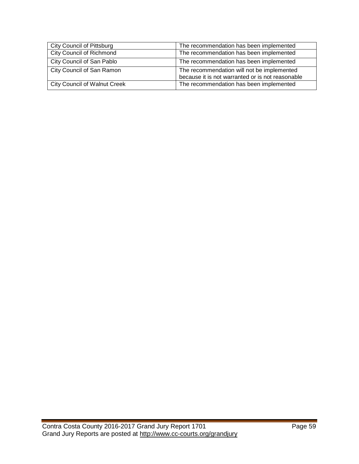| <b>City Council of Pittsburg</b>    | The recommendation has been implemented                                                        |
|-------------------------------------|------------------------------------------------------------------------------------------------|
| <b>City Council of Richmond</b>     | The recommendation has been implemented                                                        |
| City Council of San Pablo           | The recommendation has been implemented                                                        |
| City Council of San Ramon           | The recommendation will not be implemented<br>because it is not warranted or is not reasonable |
| <b>City Council of Walnut Creek</b> | The recommendation has been implemented                                                        |